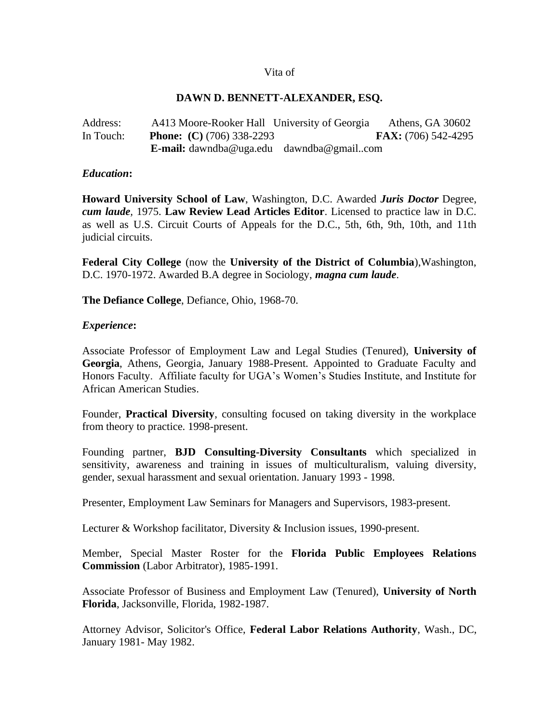#### Vita of

#### **DAWN D. BENNETT-ALEXANDER, ESQ.**

Address: A413 Moore-Rooker Hall University of Georgia Athens, GA 30602 In Touch: **Phone: (C)** (706) 338-2293 **FAX:** (706) 542-4295 **E-mail:** dawndba@uga.edu dawndba@gmail..com

#### *Education***:**

**Howard University School of Law**, Washington, D.C. Awarded *Juris Doctor* Degree, *cum laude,* 1975. **Law Review Lead Articles Editor**. Licensed to practice law in D.C. as well as U.S. Circuit Courts of Appeals for the D.C., 5th, 6th, 9th, 10th, and 11th judicial circuits.

**Federal City College** (now the **University of the District of Columbia**),Washington, D.C. 1970-1972. Awarded B.A degree in Sociology, *magna cum laude*.

**The Defiance College**, Defiance, Ohio, 1968-70.

#### *Experience***:**

Associate Professor of Employment Law and Legal Studies (Tenured), **University of Georgia**, Athens, Georgia, January 1988-Present. Appointed to Graduate Faculty and Honors Faculty. Affiliate faculty for UGA's Women's Studies Institute, and Institute for African American Studies.

Founder, **Practical Diversity**, consulting focused on taking diversity in the workplace from theory to practice. 1998-present.

Founding partner, **BJD Consulting-Diversity Consultants** which specialized in sensitivity, awareness and training in issues of multiculturalism, valuing diversity, gender, sexual harassment and sexual orientation. January 1993 - 1998.

Presenter, Employment Law Seminars for Managers and Supervisors, 1983-present.

Lecturer & Workshop facilitator, Diversity & Inclusion issues, 1990-present.

Member, Special Master Roster for the **Florida Public Employees Relations Commission** (Labor Arbitrator), 1985-1991.

Associate Professor of Business and Employment Law (Tenured), **University of North Florida**, Jacksonville, Florida, 1982-1987.

Attorney Advisor, Solicitor's Office, **Federal Labor Relations Authority**, Wash., DC, January 1981- May 1982.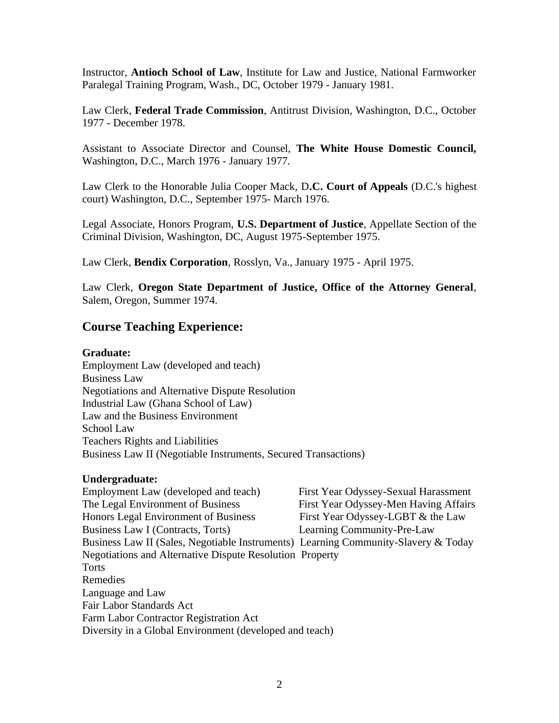Instructor, **Antioch School of Law**, Institute for Law and Justice, National Farmworker Paralegal Training Program, Wash., DC, October 1979 - January 1981.

Law Clerk, **Federal Trade Commission**, Antitrust Division, Washington, D.C., October 1977 - December 1978.

Assistant to Associate Director and Counsel, **The White House Domestic Council,**  Washington, D.C., March 1976 - January 1977.

Law Clerk to the Honorable Julia Cooper Mack, D**.C. Court of Appeals** (D.C.'s highest court) Washington, D.C., September 1975- March 1976.

Legal Associate, Honors Program, **U.S. Department of Justice**, Appellate Section of the Criminal Division, Washington, DC, August 1975-September 1975.

Law Clerk, **Bendix Corporation**, Rosslyn, Va., January 1975 - April 1975.

Law Clerk, **Oregon State Department of Justice, Office of the Attorney General**, Salem, Oregon, Summer 1974.

## **Course Teaching Experience:**

### **Graduate:**

Employment Law (developed and teach) Business Law Negotiations and Alternative Dispute Resolution Industrial Law (Ghana School of Law) Law and the Business Environment School Law Teachers Rights and Liabilities Business Law II (Negotiable Instruments, Secured Transactions)

### **Undergraduate:**

Employment Law (developed and teach) First Year Odyssey-Sexual Harassment The Legal Environment of Business First Year Odyssey-Men Having Affairs Honors Legal Environment of Business First Year Odyssey-LGBT & the Law Business Law I (Contracts, Torts) Learning Community-Pre-Law Business Law II (Sales, Negotiable Instruments) Learning Community-Slavery & Today Negotiations and Alternative Dispute Resolution Property **Torts** Remedies Language and Law Fair Labor Standards Act Farm Labor Contractor Registration Act Diversity in a Global Environment (developed and teach)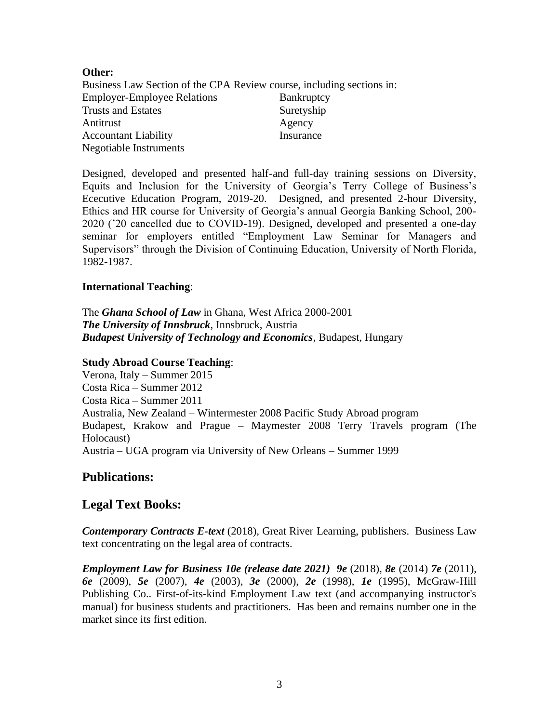### **Other:**

Business Law Section of the CPA Review course, including sections in: Employer-Employee Relations Bankruptcy Trusts and Estates Suretyship Antitrust Agency Accountant Liability Insurance Negotiable Instruments

Designed, developed and presented half-and full-day training sessions on Diversity, Equits and Inclusion for the University of Georgia's Terry College of Business's Ececutive Education Program, 2019-20. Designed, and presented 2-hour Diversity, Ethics and HR course for University of Georgia's annual Georgia Banking School, 200- 2020 ('20 cancelled due to COVID-19). Designed, developed and presented a one-day seminar for employers entitled "Employment Law Seminar for Managers and Supervisors" through the Division of Continuing Education, University of North Florida, 1982-1987.

### **International Teaching**:

The *Ghana School of Law* in Ghana, West Africa 2000-2001 *The University of Innsbruck*, Innsbruck, Austria *Budapest University of Technology and Economics*, Budapest, Hungary

### **Study Abroad Course Teaching**:

Verona, Italy – Summer 2015 Costa Rica – Summer 2012 Costa Rica – Summer 2011 Australia, New Zealand – Wintermester 2008 Pacific Study Abroad program Budapest, Krakow and Prague – Maymester 2008 Terry Travels program (The Holocaust) Austria – UGA program via University of New Orleans – Summer 1999

## **Publications:**

## **Legal Text Books:**

*Contemporary Contracts E-text* (2018), Great River Learning, publishers. Business Law text concentrating on the legal area of contracts.

*Employment Law for Business 10e (release date 2021) 9e* (2018), *8e* (2014) *7e* (2011), *6e* (2009), *5e* (2007), *4e* (2003), *3e* (2000), *2e* (1998), *1e* (1995), McGraw-Hill Publishing Co.. First-of-its-kind Employment Law text (and accompanying instructor's manual) for business students and practitioners. Has been and remains number one in the market since its first edition.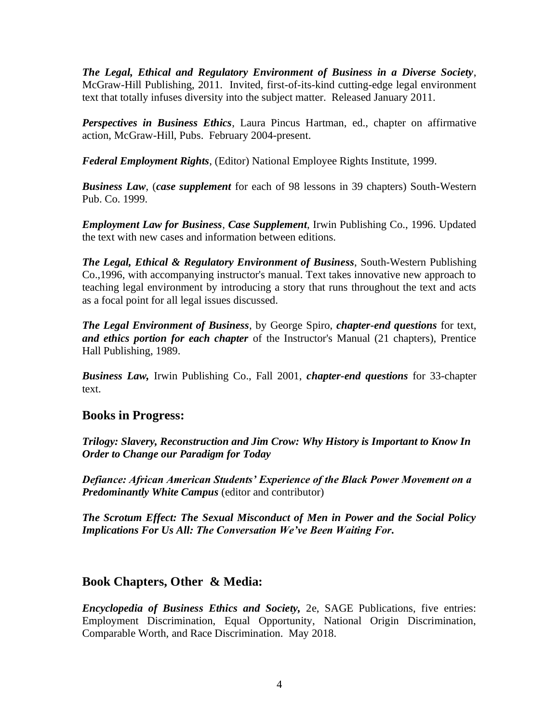*The Legal, Ethical and Regulatory Environment of Business in a Diverse Society*, McGraw-Hill Publishing, 2011. Invited, first-of-its-kind cutting-edge legal environment text that totally infuses diversity into the subject matter. Released January 2011.

*Perspectives in Business Ethics*, Laura Pincus Hartman, ed., chapter on affirmative action, McGraw-Hill, Pubs. February 2004-present.

*Federal Employment Rights*, (Editor) National Employee Rights Institute, 1999.

*Business Law*, (*case supplement* for each of 98 lessons in 39 chapters) South-Western Pub. Co. 1999.

*Employment Law for Business*, *Case Supplement*, Irwin Publishing Co., 1996. Updated the text with new cases and information between editions.

*The Legal, Ethical & Regulatory Environment of Business*, South-Western Publishing Co.,1996, with accompanying instructor's manual. Text takes innovative new approach to teaching legal environment by introducing a story that runs throughout the text and acts as a focal point for all legal issues discussed.

*The Legal Environment of Business*, by George Spiro, *chapter-end questions* for text, *and ethics portion for each chapter* of the Instructor's Manual (21 chapters), Prentice Hall Publishing, 1989.

*Business Law,* Irwin Publishing Co., Fall 2001, *chapter-end questions* for 33-chapter text.

## **Books in Progress:**

*Trilogy: Slavery, Reconstruction and Jim Crow: Why History is Important to Know In Order to Change our Paradigm for Today*

*Defiance: African American Students' Experience of the Black Power Movement on a Predominantly White Campus* (editor and contributor)

*The Scrotum Effect: The Sexual Misconduct of Men in Power and the Social Policy Implications For Us All: The Conversation We've Been Waiting For.* 

# **Book Chapters, Other & Media:**

*Encyclopedia of Business Ethics and Society,* 2e, SAGE Publications, five entries: Employment Discrimination, Equal Opportunity, National Origin Discrimination, Comparable Worth, and Race Discrimination. May 2018.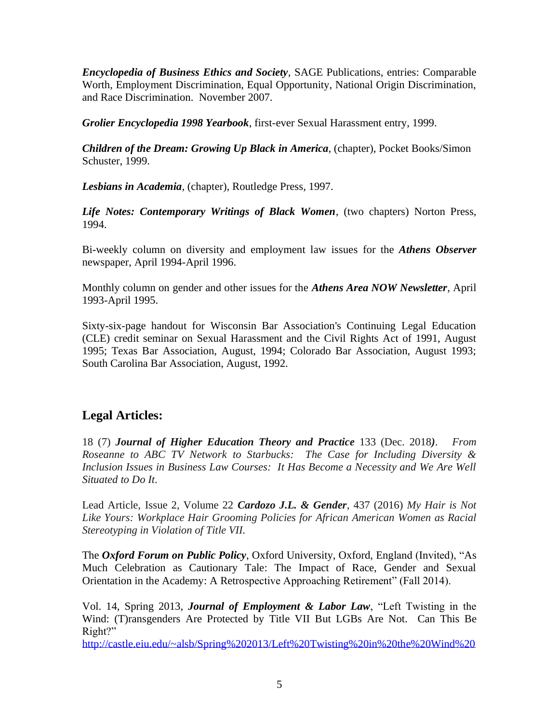*Encyclopedia of Business Ethics and Society*, SAGE Publications, entries: Comparable Worth, Employment Discrimination, Equal Opportunity, National Origin Discrimination, and Race Discrimination. November 2007.

*Grolier Encyclopedia 1998 Yearbook*, first-ever Sexual Harassment entry, 1999.

*Children of the Dream: Growing Up Black in America*, (chapter), Pocket Books/Simon Schuster, 1999.

*Lesbians in Academia*, (chapter), Routledge Press, 1997.

*Life Notes: Contemporary Writings of Black Women*, (two chapters) Norton Press, 1994.

Bi-weekly column on diversity and employment law issues for the *Athens Observer* newspaper, April 1994-April 1996.

Monthly column on gender and other issues for the *Athens Area NOW Newsletter*, April 1993-April 1995.

Sixty-six-page handout for Wisconsin Bar Association's Continuing Legal Education (CLE) credit seminar on Sexual Harassment and the Civil Rights Act of 1991, August 1995; Texas Bar Association, August, 1994; Colorado Bar Association, August 1993; South Carolina Bar Association, August, 1992.

# **Legal Articles:**

18 (7) *Journal of Higher Education Theory and Practice* 133 (Dec. 2018*)*. *From Roseanne to ABC TV Network to Starbucks: The Case for Including Diversity & Inclusion Issues in Business Law Courses: It Has Become a Necessity and We Are Well Situated to Do It*.

Lead Article, Issue 2, Volume 22 *Cardozo J.L. & Gender*, 437 (2016) *My Hair is Not Like Yours: Workplace Hair Grooming Policies for African American Women as Racial Stereotyping in Violation of Title VII.*

The *Oxford Forum on Public Policy*, Oxford University, Oxford, England (Invited), "As Much Celebration as Cautionary Tale: The Impact of Race, Gender and Sexual Orientation in the Academy: A Retrospective Approaching Retirement" (Fall 2014).

Vol. 14, Spring 2013, *Journal of Employment & Labor Law*, "Left Twisting in the Wind: (T)ransgenders Are Protected by Title VII But LGBs Are Not. Can This Be Right?"

[http://castle.eiu.edu/~alsb/Spring%202013/Left%20Twisting%20in%20the%20Wind%20](http://castle.eiu.edu/~alsb/Spring%202013/Left%20Twisting%20in%20the%20Wind%20(T)ransgenders%20Are%20Protected%20by%20Title%20VII%20but%20LGBs%20Are.pdf)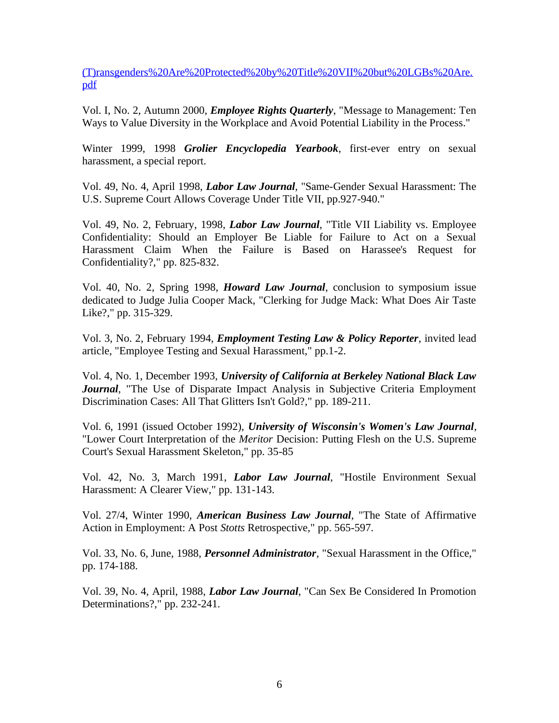[\(T\)ransgenders%20Are%20Protected%20by%20Title%20VII%20but%20LGBs%20Are.](http://castle.eiu.edu/~alsb/Spring%202013/Left%20Twisting%20in%20the%20Wind%20(T)ransgenders%20Are%20Protected%20by%20Title%20VII%20but%20LGBs%20Are.pdf) [pdf](http://castle.eiu.edu/~alsb/Spring%202013/Left%20Twisting%20in%20the%20Wind%20(T)ransgenders%20Are%20Protected%20by%20Title%20VII%20but%20LGBs%20Are.pdf)

Vol. I, No. 2, Autumn 2000, *Employee Rights Quarterly*, "Message to Management: Ten Ways to Value Diversity in the Workplace and Avoid Potential Liability in the Process."

Winter 1999, 1998 *Grolier Encyclopedia Yearbook*, first-ever entry on sexual harassment, a special report.

Vol. 49, No. 4, April 1998, *Labor Law Journal*, "Same-Gender Sexual Harassment: The U.S. Supreme Court Allows Coverage Under Title VII, pp.927-940."

Vol. 49, No. 2, February, 1998, *Labor Law Journal*, "Title VII Liability vs. Employee Confidentiality: Should an Employer Be Liable for Failure to Act on a Sexual Harassment Claim When the Failure is Based on Harassee's Request for Confidentiality?," pp. 825-832.

Vol. 40, No. 2, Spring 1998, *Howard Law Journal*, conclusion to symposium issue dedicated to Judge Julia Cooper Mack, "Clerking for Judge Mack: What Does Air Taste Like?," pp. 315-329.

Vol. 3, No. 2, February 1994, *Employment Testing Law & Policy Reporter*, invited lead article, "Employee Testing and Sexual Harassment," pp.1-2.

Vol. 4, No. 1, December 1993, *University of California at Berkeley National Black Law Journal*, "The Use of Disparate Impact Analysis in Subjective Criteria Employment Discrimination Cases: All That Glitters Isn't Gold?," pp. 189-211.

Vol. 6, 1991 (issued October 1992), *University of Wisconsin's Women's Law Journal*, "Lower Court Interpretation of the *Meritor* Decision: Putting Flesh on the U.S. Supreme Court's Sexual Harassment Skeleton," pp. 35-85

Vol. 42, No. 3, March 1991, *Labor Law Journal*, "Hostile Environment Sexual Harassment: A Clearer View," pp. 131-143.

Vol. 27/4, Winter 1990, *American Business Law Journal*, "The State of Affirmative Action in Employment: A Post *Stotts* Retrospective," pp. 565-597.

Vol. 33, No. 6, June, 1988, *Personnel Administrator*, "Sexual Harassment in the Office," pp. 174-188.

Vol. 39, No. 4, April, 1988, *Labor Law Journal*, "Can Sex Be Considered In Promotion Determinations?," pp. 232-241.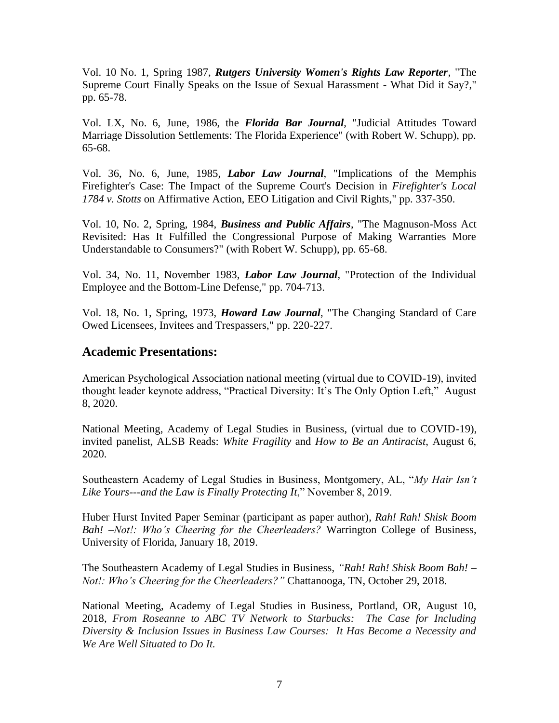Vol. 10 No. 1, Spring 1987, *Rutgers University Women's Rights Law Reporter*, "The Supreme Court Finally Speaks on the Issue of Sexual Harassment - What Did it Say?," pp. 65-78.

Vol. LX, No. 6, June, 1986, the *Florida Bar Journal*, "Judicial Attitudes Toward Marriage Dissolution Settlements: The Florida Experience" (with Robert W. Schupp), pp. 65-68.

Vol. 36, No. 6, June, 1985, *Labor Law Journal*, "Implications of the Memphis Firefighter's Case: The Impact of the Supreme Court's Decision in *Firefighter's Local 1784 v. Stotts* on Affirmative Action, EEO Litigation and Civil Rights," pp. 337-350.

Vol. 10, No. 2, Spring, 1984, *Business and Public Affairs*, "The Magnuson-Moss Act Revisited: Has It Fulfilled the Congressional Purpose of Making Warranties More Understandable to Consumers?" (with Robert W. Schupp), pp. 65-68.

Vol. 34, No. 11, November 1983, *Labor Law Journal*, "Protection of the Individual Employee and the Bottom-Line Defense," pp. 704-713.

Vol. 18, No. 1, Spring, 1973, *Howard Law Journal*, "The Changing Standard of Care Owed Licensees, Invitees and Trespassers," pp. 220-227.

### **Academic Presentations:**

American Psychological Association national meeting (virtual due to COVID-19), invited thought leader keynote address, "Practical Diversity: It's The Only Option Left," August 8, 2020.

National Meeting, Academy of Legal Studies in Business, (virtual due to COVID-19), invited panelist, ALSB Reads: *White Fragility* and *How to Be an Antiracist*, August 6, 2020.

Southeastern Academy of Legal Studies in Business, Montgomery, AL, "*My Hair Isn't Like Yours---and the Law is Finally Protecting It*," November 8, 2019.

Huber Hurst Invited Paper Seminar (participant as paper author), *Rah! Rah! Shisk Boom Bah! –Not!: Who's Cheering for the Cheerleaders?* Warrington College of Business, University of Florida, January 18, 2019.

The Southeastern Academy of Legal Studies in Business, *"Rah! Rah! Shisk Boom Bah! – Not!: Who's Cheering for the Cheerleaders?"* Chattanooga, TN, October 29, 2018.

National Meeting, Academy of Legal Studies in Business, Portland, OR, August 10, 2018, *From Roseanne to ABC TV Network to Starbucks: The Case for Including Diversity & Inclusion Issues in Business Law Courses: It Has Become a Necessity and We Are Well Situated to Do It.*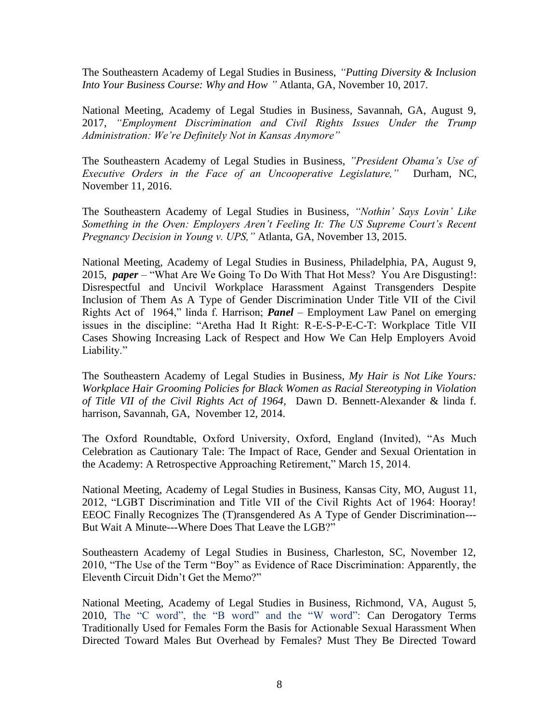The Southeastern Academy of Legal Studies in Business, *"Putting Diversity & Inclusion Into Your Business Course: Why and How "* Atlanta, GA, November 10, 2017.

National Meeting, Academy of Legal Studies in Business, Savannah, GA, August 9, 2017, *"Employment Discrimination and Civil Rights Issues Under the Trump Administration: We're Definitely Not in Kansas Anymore"*

The Southeastern Academy of Legal Studies in Business, *"President Obama's Use of Executive Orders in the Face of an Uncooperative Legislature,"* Durham, NC, November 11, 2016.

The Southeastern Academy of Legal Studies in Business, *"Nothin' Says Lovin' Like Something in the Oven: Employers Aren't Feeling It: The US Supreme Court's Recent Pregnancy Decision in Young v. UPS,"* Atlanta, GA, November 13, 2015.

National Meeting, Academy of Legal Studies in Business, Philadelphia, PA, August 9, 2015, *paper* – "What Are We Going To Do With That Hot Mess? You Are Disgusting!: Disrespectful and Uncivil Workplace Harassment Against Transgenders Despite Inclusion of Them As A Type of Gender Discrimination Under Title VII of the Civil Rights Act of 1964," linda f. Harrison; *Panel* – Employment Law Panel on emerging issues in the discipline: "Aretha Had It Right: R-E-S-P-E-C-T: Workplace Title VII Cases Showing Increasing Lack of Respect and How We Can Help Employers Avoid Liability."

The Southeastern Academy of Legal Studies in Business, *My Hair is Not Like Yours: Workplace Hair Grooming Policies for Black Women as Racial Stereotyping in Violation of Title VII of the Civil Rights Act of 1964,* Dawn D. Bennett-Alexander & linda f. harrison, Savannah, GA, November 12, 2014.

The Oxford Roundtable, Oxford University, Oxford, England (Invited), "As Much Celebration as Cautionary Tale: The Impact of Race, Gender and Sexual Orientation in the Academy: A Retrospective Approaching Retirement," March 15, 2014.

National Meeting, Academy of Legal Studies in Business, Kansas City, MO, August 11, 2012, "LGBT Discrimination and Title VII of the Civil Rights Act of 1964: Hooray! EEOC Finally Recognizes The (T)ransgendered As A Type of Gender Discrimination--- But Wait A Minute---Where Does That Leave the LGB?"

Southeastern Academy of Legal Studies in Business, Charleston, SC, November 12, 2010, "The Use of the Term "Boy" as Evidence of Race Discrimination: Apparently, the Eleventh Circuit Didn't Get the Memo?"

National Meeting, Academy of Legal Studies in Business, Richmond, VA, August 5, 2010, The "C word", the "B word" and the "W word": Can Derogatory Terms Traditionally Used for Females Form the Basis for Actionable Sexual Harassment When Directed Toward Males But Overhead by Females? Must They Be Directed Toward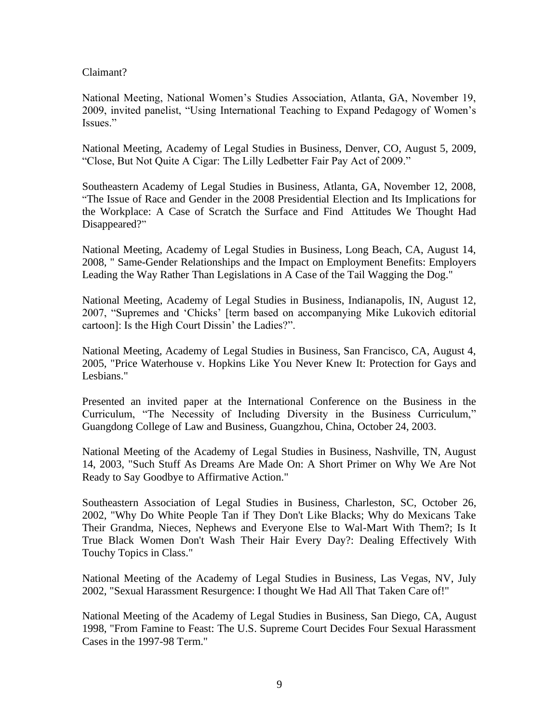### Claimant?

National Meeting, National Women's Studies Association, Atlanta, GA, November 19, 2009, invited panelist, "Using International Teaching to Expand Pedagogy of Women's Issues."

National Meeting, Academy of Legal Studies in Business, Denver, CO, August 5, 2009, "Close, But Not Quite A Cigar: The Lilly Ledbetter Fair Pay Act of 2009."

Southeastern Academy of Legal Studies in Business, Atlanta, GA, November 12, 2008, "The Issue of Race and Gender in the 2008 Presidential Election and Its Implications for the Workplace: A Case of Scratch the Surface and Find Attitudes We Thought Had Disappeared?"

National Meeting, Academy of Legal Studies in Business, Long Beach, CA, August 14, 2008, " Same-Gender Relationships and the Impact on Employment Benefits: Employers Leading the Way Rather Than Legislations in A Case of the Tail Wagging the Dog."

National Meeting, Academy of Legal Studies in Business, Indianapolis, IN, August 12, 2007, "Supremes and 'Chicks' [term based on accompanying Mike Lukovich editorial cartoon]: Is the High Court Dissin' the Ladies?".

National Meeting, Academy of Legal Studies in Business, San Francisco, CA, August 4, 2005, "Price Waterhouse v. Hopkins Like You Never Knew It: Protection for Gays and Lesbians."

Presented an invited paper at the International Conference on the Business in the Curriculum, "The Necessity of Including Diversity in the Business Curriculum," Guangdong College of Law and Business, Guangzhou, China, October 24, 2003.

National Meeting of the Academy of Legal Studies in Business, Nashville, TN, August 14, 2003, "Such Stuff As Dreams Are Made On: A Short Primer on Why We Are Not Ready to Say Goodbye to Affirmative Action."

Southeastern Association of Legal Studies in Business, Charleston, SC, October 26, 2002, "Why Do White People Tan if They Don't Like Blacks; Why do Mexicans Take Their Grandma, Nieces, Nephews and Everyone Else to Wal-Mart With Them?; Is It True Black Women Don't Wash Their Hair Every Day?: Dealing Effectively With Touchy Topics in Class."

National Meeting of the Academy of Legal Studies in Business, Las Vegas, NV, July 2002, "Sexual Harassment Resurgence: I thought We Had All That Taken Care of!"

National Meeting of the Academy of Legal Studies in Business, San Diego, CA, August 1998, "From Famine to Feast: The U.S. Supreme Court Decides Four Sexual Harassment Cases in the 1997-98 Term."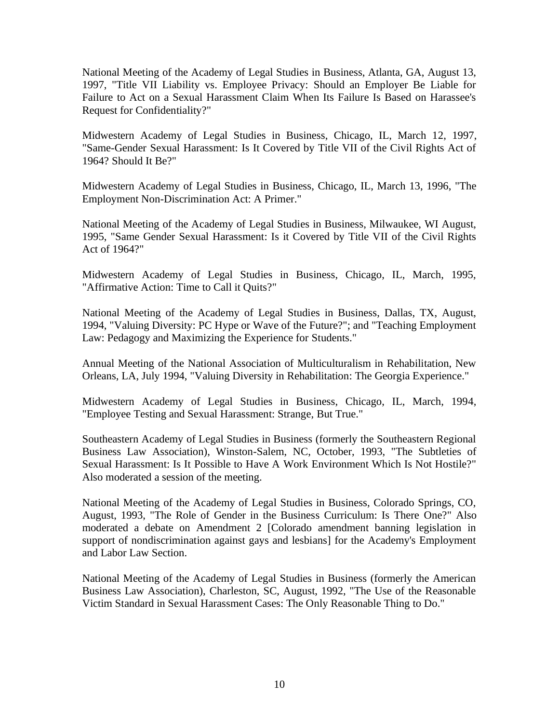National Meeting of the Academy of Legal Studies in Business, Atlanta, GA, August 13, 1997, "Title VII Liability vs. Employee Privacy: Should an Employer Be Liable for Failure to Act on a Sexual Harassment Claim When Its Failure Is Based on Harassee's Request for Confidentiality?"

Midwestern Academy of Legal Studies in Business, Chicago, IL, March 12, 1997, "Same-Gender Sexual Harassment: Is It Covered by Title VII of the Civil Rights Act of 1964? Should It Be?"

Midwestern Academy of Legal Studies in Business, Chicago, IL, March 13, 1996, "The Employment Non-Discrimination Act: A Primer."

National Meeting of the Academy of Legal Studies in Business, Milwaukee, WI August, 1995, "Same Gender Sexual Harassment: Is it Covered by Title VII of the Civil Rights Act of 1964?"

Midwestern Academy of Legal Studies in Business, Chicago, IL, March, 1995, "Affirmative Action: Time to Call it Quits?"

National Meeting of the Academy of Legal Studies in Business, Dallas, TX, August, 1994, "Valuing Diversity: PC Hype or Wave of the Future?"; and "Teaching Employment Law: Pedagogy and Maximizing the Experience for Students."

Annual Meeting of the National Association of Multiculturalism in Rehabilitation, New Orleans, LA, July 1994, "Valuing Diversity in Rehabilitation: The Georgia Experience."

Midwestern Academy of Legal Studies in Business, Chicago, IL, March, 1994, "Employee Testing and Sexual Harassment: Strange, But True."

Southeastern Academy of Legal Studies in Business (formerly the Southeastern Regional Business Law Association), Winston-Salem, NC, October, 1993, "The Subtleties of Sexual Harassment: Is It Possible to Have A Work Environment Which Is Not Hostile?" Also moderated a session of the meeting.

National Meeting of the Academy of Legal Studies in Business, Colorado Springs, CO, August, 1993, "The Role of Gender in the Business Curriculum: Is There One?" Also moderated a debate on Amendment 2 [Colorado amendment banning legislation in support of nondiscrimination against gays and lesbians] for the Academy's Employment and Labor Law Section.

National Meeting of the Academy of Legal Studies in Business (formerly the American Business Law Association), Charleston, SC, August, 1992, "The Use of the Reasonable Victim Standard in Sexual Harassment Cases: The Only Reasonable Thing to Do."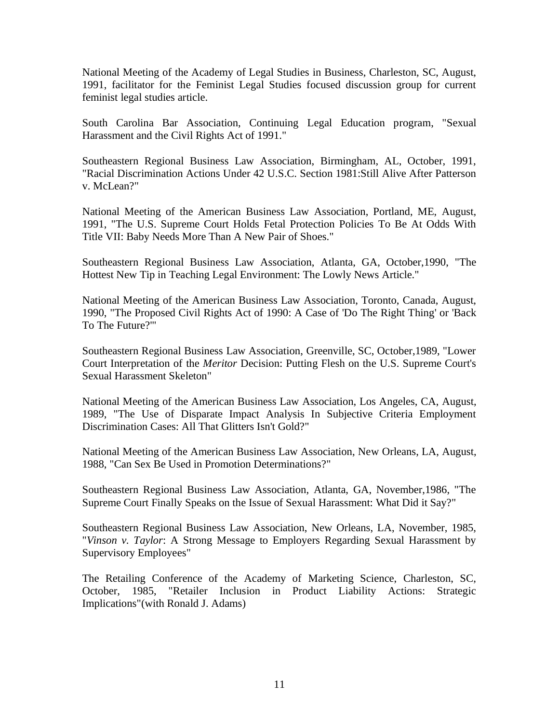National Meeting of the Academy of Legal Studies in Business, Charleston, SC, August, 1991, facilitator for the Feminist Legal Studies focused discussion group for current feminist legal studies article.

South Carolina Bar Association, Continuing Legal Education program, "Sexual Harassment and the Civil Rights Act of 1991."

Southeastern Regional Business Law Association, Birmingham, AL, October, 1991, "Racial Discrimination Actions Under 42 U.S.C. Section 1981:Still Alive After Patterson v. McLean?"

National Meeting of the American Business Law Association, Portland, ME, August, 1991, "The U.S. Supreme Court Holds Fetal Protection Policies To Be At Odds With Title VII: Baby Needs More Than A New Pair of Shoes."

Southeastern Regional Business Law Association, Atlanta, GA, October,1990, "The Hottest New Tip in Teaching Legal Environment: The Lowly News Article."

National Meeting of the American Business Law Association, Toronto, Canada, August, 1990, "The Proposed Civil Rights Act of 1990: A Case of 'Do The Right Thing' or 'Back To The Future?'"

Southeastern Regional Business Law Association, Greenville, SC, October,1989, "Lower Court Interpretation of the *Meritor* Decision: Putting Flesh on the U.S. Supreme Court's Sexual Harassment Skeleton"

National Meeting of the American Business Law Association, Los Angeles, CA, August, 1989, "The Use of Disparate Impact Analysis In Subjective Criteria Employment Discrimination Cases: All That Glitters Isn't Gold?"

National Meeting of the American Business Law Association, New Orleans, LA, August, 1988, "Can Sex Be Used in Promotion Determinations?"

Southeastern Regional Business Law Association, Atlanta, GA, November,1986, "The Supreme Court Finally Speaks on the Issue of Sexual Harassment: What Did it Say?"

Southeastern Regional Business Law Association, New Orleans, LA, November, 1985, "*Vinson v. Taylor*: A Strong Message to Employers Regarding Sexual Harassment by Supervisory Employees"

The Retailing Conference of the Academy of Marketing Science, Charleston, SC, October, 1985, "Retailer Inclusion in Product Liability Actions: Strategic Implications"(with Ronald J. Adams)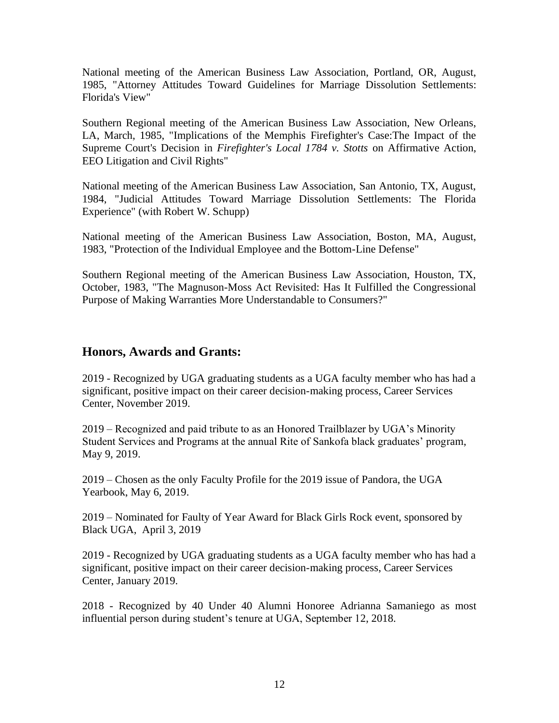National meeting of the American Business Law Association, Portland, OR, August, 1985, "Attorney Attitudes Toward Guidelines for Marriage Dissolution Settlements: Florida's View"

Southern Regional meeting of the American Business Law Association, New Orleans, LA, March, 1985, "Implications of the Memphis Firefighter's Case:The Impact of the Supreme Court's Decision in *Firefighter's Local 1784 v. Stotts* on Affirmative Action, EEO Litigation and Civil Rights"

National meeting of the American Business Law Association, San Antonio, TX, August, 1984, "Judicial Attitudes Toward Marriage Dissolution Settlements: The Florida Experience" (with Robert W. Schupp)

National meeting of the American Business Law Association, Boston, MA, August, 1983, "Protection of the Individual Employee and the Bottom-Line Defense"

Southern Regional meeting of the American Business Law Association, Houston, TX, October, 1983, "The Magnuson-Moss Act Revisited: Has It Fulfilled the Congressional Purpose of Making Warranties More Understandable to Consumers?"

### **Honors, Awards and Grants:**

2019 - Recognized by UGA graduating students as a UGA faculty member who has had a significant, positive impact on their career decision-making process, Career Services Center, November 2019.

2019 – Recognized and paid tribute to as an Honored Trailblazer by UGA's Minority Student Services and Programs at the annual Rite of Sankofa black graduates' program, May 9, 2019.

2019 – Chosen as the only Faculty Profile for the 2019 issue of Pandora, the UGA Yearbook, May 6, 2019.

2019 – Nominated for Faulty of Year Award for Black Girls Rock event, sponsored by Black UGA, April 3, 2019

2019 - Recognized by UGA graduating students as a UGA faculty member who has had a significant, positive impact on their career decision-making process, Career Services Center, January 2019.

2018 - Recognized by 40 Under 40 Alumni Honoree Adrianna Samaniego as most influential person during student's tenure at UGA, September 12, 2018.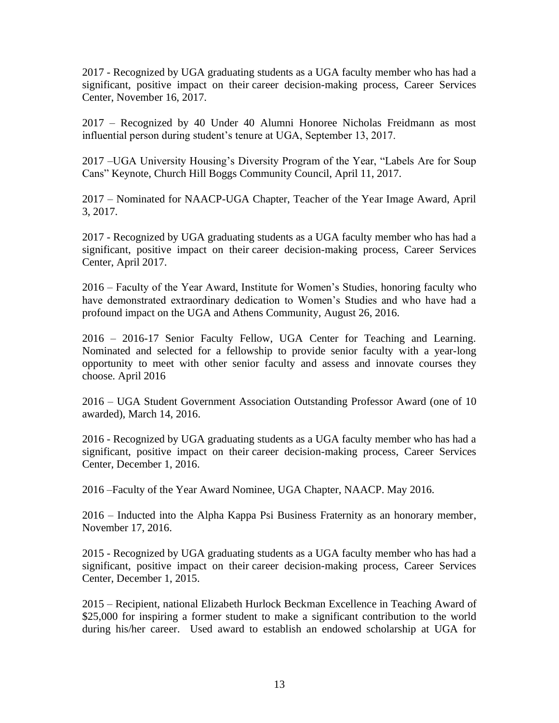2017 - Recognized by UGA graduating students as a UGA faculty member who has had a significant, positive impact on their career decision-making process, Career Services Center, November 16, 2017.

2017 – Recognized by 40 Under 40 Alumni Honoree Nicholas Freidmann as most influential person during student's tenure at UGA, September 13, 2017.

2017 –UGA University Housing's Diversity Program of the Year, "Labels Are for Soup Cans" Keynote, Church Hill Boggs Community Council, April 11, 2017.

2017 – Nominated for NAACP-UGA Chapter, Teacher of the Year Image Award, April 3, 2017.

2017 - Recognized by UGA graduating students as a UGA faculty member who has had a significant, positive impact on their career decision-making process, Career Services Center, April 2017.

2016 – Faculty of the Year Award, Institute for Women's Studies, honoring faculty who have demonstrated extraordinary dedication to Women's Studies and who have had a profound impact on the UGA and Athens Community, August 26, 2016.

2016 – 2016-17 Senior Faculty Fellow, UGA Center for Teaching and Learning. Nominated and selected for a fellowship to provide senior faculty with a year-long opportunity to meet with other senior faculty and assess and innovate courses they choose. April 2016

2016 – UGA Student Government Association Outstanding Professor Award (one of 10 awarded), March 14, 2016.

2016 - Recognized by UGA graduating students as a UGA faculty member who has had a significant, positive impact on their career decision-making process, Career Services Center, December 1, 2016.

2016 –Faculty of the Year Award Nominee, UGA Chapter, NAACP. May 2016.

2016 – Inducted into the Alpha Kappa Psi Business Fraternity as an honorary member, November 17, 2016.

2015 - Recognized by UGA graduating students as a UGA faculty member who has had a significant, positive impact on their career decision-making process, Career Services Center, December 1, 2015.

2015 – Recipient, national Elizabeth Hurlock Beckman Excellence in Teaching Award of \$25,000 for inspiring a former student to make a significant contribution to the world during his/her career. Used award to establish an endowed scholarship at UGA for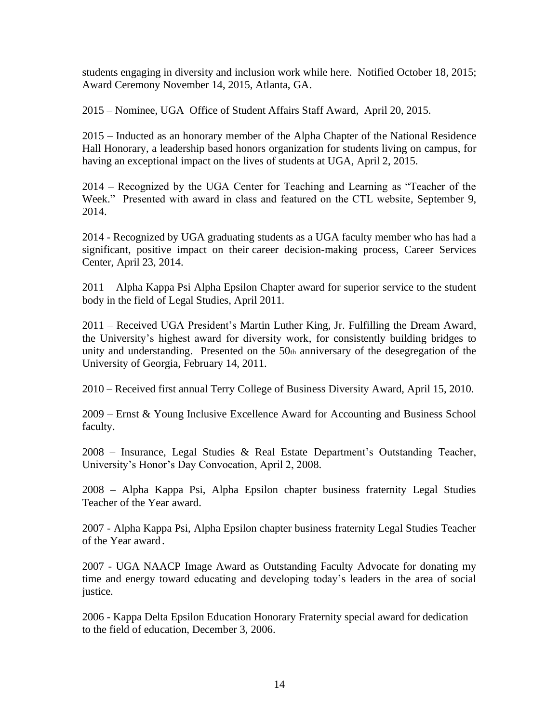students engaging in diversity and inclusion work while here. Notified October 18, 2015; Award Ceremony November 14, 2015, Atlanta, GA.

2015 – Nominee, UGA Office of Student Affairs Staff Award, April 20, 2015.

2015 – Inducted as an honorary member of the Alpha Chapter of the National Residence Hall Honorary, a leadership based honors organization for students living on campus, for having an exceptional impact on the lives of students at UGA, April 2, 2015.

2014 – Recognized by the UGA Center for Teaching and Learning as "Teacher of the Week." Presented with award in class and featured on the CTL website, September 9, 2014.

2014 - Recognized by UGA graduating students as a UGA faculty member who has had a significant, positive impact on their career decision-making process, Career Services Center, April 23, 2014.

2011 – Alpha Kappa Psi Alpha Epsilon Chapter award for superior service to the student body in the field of Legal Studies, April 2011.

2011 – Received UGA President's Martin Luther King, Jr. Fulfilling the Dream Award, the University's highest award for diversity work, for consistently building bridges to unity and understanding. Presented on the 50th anniversary of the desegregation of the University of Georgia, February 14, 2011.

2010 – Received first annual Terry College of Business Diversity Award, April 15, 2010.

2009 – Ernst & Young Inclusive Excellence Award for Accounting and Business School faculty.

2008 – Insurance, Legal Studies & Real Estate Department's Outstanding Teacher, University's Honor's Day Convocation, April 2, 2008.

2008 – Alpha Kappa Psi, Alpha Epsilon chapter business fraternity Legal Studies Teacher of the Year award.

2007 - Alpha Kappa Psi, Alpha Epsilon chapter business fraternity Legal Studies Teacher of the Year award.

2007 - UGA NAACP Image Award as Outstanding Faculty Advocate for donating my time and energy toward educating and developing today's leaders in the area of social justice.

2006 - Kappa Delta Epsilon Education Honorary Fraternity special award for dedication to the field of education, December 3, 2006.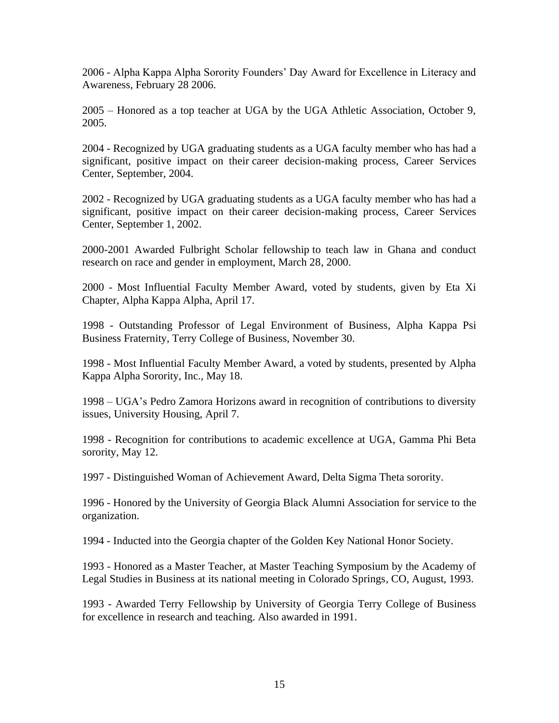2006 - Alpha Kappa Alpha Sorority Founders' Day Award for Excellence in Literacy and Awareness, February 28 2006.

2005 – Honored as a top teacher at UGA by the UGA Athletic Association, October 9, 2005.

2004 - Recognized by UGA graduating students as a UGA faculty member who has had a significant, positive impact on their career decision-making process, Career Services Center, September, 2004.

2002 - Recognized by UGA graduating students as a UGA faculty member who has had a significant, positive impact on their career decision-making process, Career Services Center, September 1, 2002.

2000-2001 Awarded Fulbright Scholar fellowship to teach law in Ghana and conduct research on race and gender in employment, March 28, 2000.

2000 - Most Influential Faculty Member Award, voted by students, given by Eta Xi Chapter, Alpha Kappa Alpha, April 17.

1998 - Outstanding Professor of Legal Environment of Business, Alpha Kappa Psi Business Fraternity, Terry College of Business, November 30.

1998 - Most Influential Faculty Member Award, a voted by students, presented by Alpha Kappa Alpha Sorority, Inc., May 18.

1998 – UGA's Pedro Zamora Horizons award in recognition of contributions to diversity issues, University Housing, April 7.

1998 - Recognition for contributions to academic excellence at UGA, Gamma Phi Beta sorority, May 12.

1997 - Distinguished Woman of Achievement Award, Delta Sigma Theta sorority.

1996 - Honored by the University of Georgia Black Alumni Association for service to the organization.

1994 - Inducted into the Georgia chapter of the Golden Key National Honor Society.

1993 - Honored as a Master Teacher, at Master Teaching Symposium by the Academy of Legal Studies in Business at its national meeting in Colorado Springs, CO, August, 1993.

1993 - Awarded Terry Fellowship by University of Georgia Terry College of Business for excellence in research and teaching. Also awarded in 1991.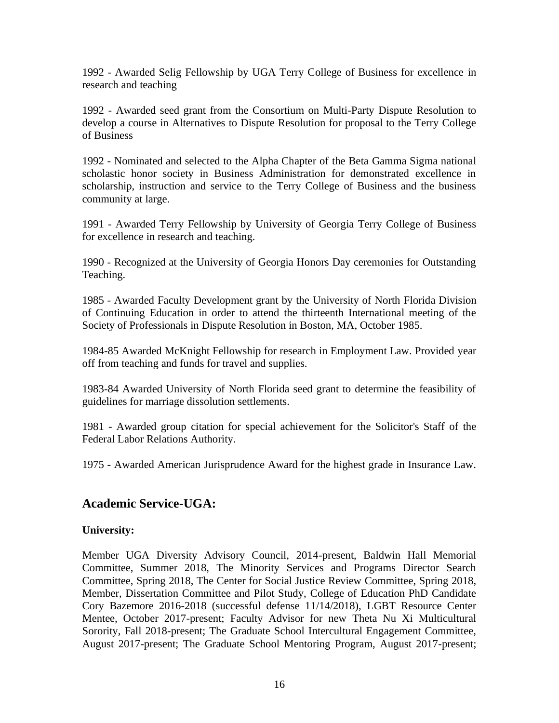1992 - Awarded Selig Fellowship by UGA Terry College of Business for excellence in research and teaching

1992 - Awarded seed grant from the Consortium on Multi-Party Dispute Resolution to develop a course in Alternatives to Dispute Resolution for proposal to the Terry College of Business

1992 - Nominated and selected to the Alpha Chapter of the Beta Gamma Sigma national scholastic honor society in Business Administration for demonstrated excellence in scholarship, instruction and service to the Terry College of Business and the business community at large.

1991 - Awarded Terry Fellowship by University of Georgia Terry College of Business for excellence in research and teaching.

1990 - Recognized at the University of Georgia Honors Day ceremonies for Outstanding Teaching.

1985 - Awarded Faculty Development grant by the University of North Florida Division of Continuing Education in order to attend the thirteenth International meeting of the Society of Professionals in Dispute Resolution in Boston, MA, October 1985.

1984-85 Awarded McKnight Fellowship for research in Employment Law. Provided year off from teaching and funds for travel and supplies.

1983-84 Awarded University of North Florida seed grant to determine the feasibility of guidelines for marriage dissolution settlements.

1981 - Awarded group citation for special achievement for the Solicitor's Staff of the Federal Labor Relations Authority.

1975 - Awarded American Jurisprudence Award for the highest grade in Insurance Law.

# **Academic Service-UGA:**

### **University:**

Member UGA Diversity Advisory Council, 2014-present, Baldwin Hall Memorial Committee, Summer 2018, The Minority Services and Programs Director Search Committee, Spring 2018, The Center for Social Justice Review Committee, Spring 2018, Member, Dissertation Committee and Pilot Study, College of Education PhD Candidate Cory Bazemore 2016-2018 (successful defense 11/14/2018), LGBT Resource Center Mentee, October 2017-present; Faculty Advisor for new Theta Nu Xi Multicultural Sorority, Fall 2018-present; The Graduate School Intercultural Engagement Committee, August 2017-present; The Graduate School Mentoring Program, August 2017-present;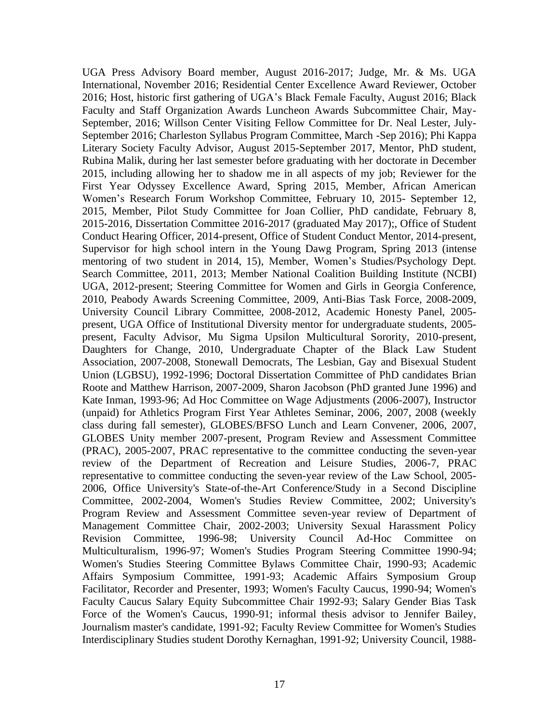UGA Press Advisory Board member, August 2016-2017; Judge, Mr. & Ms. UGA International, November 2016; Residential Center Excellence Award Reviewer, October 2016; Host, historic first gathering of UGA's Black Female Faculty, August 2016; Black Faculty and Staff Organization Awards Luncheon Awards Subcommittee Chair, May-September, 2016; Willson Center Visiting Fellow Committee for Dr. Neal Lester, July-September 2016; Charleston Syllabus Program Committee, March -Sep 2016); Phi Kappa Literary Society Faculty Advisor, August 2015-September 2017, Mentor, PhD student, Rubina Malik, during her last semester before graduating with her doctorate in December 2015, including allowing her to shadow me in all aspects of my job; Reviewer for the First Year Odyssey Excellence Award, Spring 2015, Member, African American Women's Research Forum Workshop Committee, February 10, 2015- September 12, 2015, Member, Pilot Study Committee for Joan Collier, PhD candidate, February 8, 2015-2016, Dissertation Committee 2016-2017 (graduated May 2017);, Office of Student Conduct Hearing Officer, 2014-present, Office of Student Conduct Mentor, 2014-present, Supervisor for high school intern in the Young Dawg Program, Spring 2013 (intense mentoring of two student in 2014, 15), Member, Women's Studies/Psychology Dept. Search Committee, 2011, 2013; Member National Coalition Building Institute (NCBI) UGA, 2012-present; Steering Committee for Women and Girls in Georgia Conference, 2010, Peabody Awards Screening Committee, 2009, Anti-Bias Task Force, 2008-2009, University Council Library Committee, 2008-2012, Academic Honesty Panel, 2005 present, UGA Office of Institutional Diversity mentor for undergraduate students, 2005 present, Faculty Advisor, Mu Sigma Upsilon Multicultural Sorority, 2010-present, Daughters for Change, 2010, Undergraduate Chapter of the Black Law Student Association, 2007-2008, Stonewall Democrats, The Lesbian, Gay and Bisexual Student Union (LGBSU), 1992-1996; Doctoral Dissertation Committee of PhD candidates Brian Roote and Matthew Harrison, 2007-2009, Sharon Jacobson (PhD granted June 1996) and Kate Inman, 1993-96; Ad Hoc Committee on Wage Adjustments (2006-2007), Instructor (unpaid) for Athletics Program First Year Athletes Seminar, 2006, 2007, 2008 (weekly class during fall semester), GLOBES/BFSO Lunch and Learn Convener, 2006, 2007, GLOBES Unity member 2007-present, Program Review and Assessment Committee (PRAC), 2005-2007, PRAC representative to the committee conducting the seven-year review of the Department of Recreation and Leisure Studies, 2006-7, PRAC representative to committee conducting the seven-year review of the Law School, 2005- 2006, Office University's State-of-the-Art Conference/Study in a Second Discipline Committee, 2002-2004, Women's Studies Review Committee, 2002; University's Program Review and Assessment Committee seven-year review of Department of Management Committee Chair, 2002-2003; University Sexual Harassment Policy Revision Committee, 1996-98; University Council Ad-Hoc Committee on Multiculturalism, 1996-97; Women's Studies Program Steering Committee 1990-94; Women's Studies Steering Committee Bylaws Committee Chair, 1990-93; Academic Affairs Symposium Committee, 1991-93; Academic Affairs Symposium Group Facilitator, Recorder and Presenter, 1993; Women's Faculty Caucus, 1990-94; Women's Faculty Caucus Salary Equity Subcommittee Chair 1992-93; Salary Gender Bias Task Force of the Women's Caucus, 1990-91; informal thesis advisor to Jennifer Bailey, Journalism master's candidate, 1991-92; Faculty Review Committee for Women's Studies Interdisciplinary Studies student Dorothy Kernaghan, 1991-92; University Council, 1988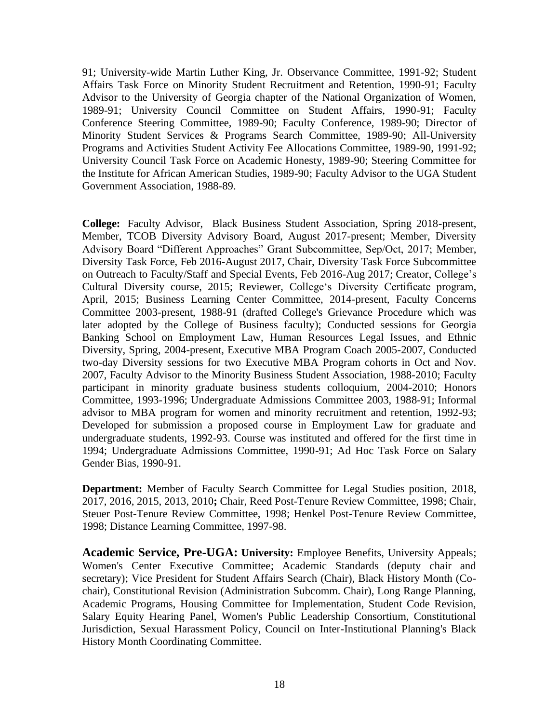91; University-wide Martin Luther King, Jr. Observance Committee, 1991-92; Student Affairs Task Force on Minority Student Recruitment and Retention, 1990-91; Faculty Advisor to the University of Georgia chapter of the National Organization of Women, 1989-91; University Council Committee on Student Affairs, 1990-91; Faculty Conference Steering Committee, 1989-90; Faculty Conference, 1989-90; Director of Minority Student Services & Programs Search Committee, 1989-90; All-University Programs and Activities Student Activity Fee Allocations Committee, 1989-90, 1991-92; University Council Task Force on Academic Honesty, 1989-90; Steering Committee for the Institute for African American Studies, 1989-90; Faculty Advisor to the UGA Student Government Association, 1988-89.

**College:** Faculty Advisor, Black Business Student Association, Spring 2018-present, Member, TCOB Diversity Advisory Board, August 2017-present; Member, Diversity Advisory Board "Different Approaches" Grant Subcommittee, Sep/Oct, 2017; Member, Diversity Task Force, Feb 2016-August 2017, Chair, Diversity Task Force Subcommittee on Outreach to Faculty/Staff and Special Events, Feb 2016-Aug 2017; Creator, College's Cultural Diversity course, 2015; Reviewer, College's Diversity Certificate program, April, 2015; Business Learning Center Committee, 2014-present, Faculty Concerns Committee 2003-present, 1988-91 (drafted College's Grievance Procedure which was later adopted by the College of Business faculty); Conducted sessions for Georgia Banking School on Employment Law, Human Resources Legal Issues, and Ethnic Diversity, Spring, 2004-present, Executive MBA Program Coach 2005-2007, Conducted two-day Diversity sessions for two Executive MBA Program cohorts in Oct and Nov. 2007, Faculty Advisor to the Minority Business Student Association, 1988-2010; Faculty participant in minority graduate business students colloquium, 2004-2010; Honors Committee, 1993-1996; Undergraduate Admissions Committee 2003, 1988-91; Informal advisor to MBA program for women and minority recruitment and retention, 1992-93; Developed for submission a proposed course in Employment Law for graduate and undergraduate students, 1992-93. Course was instituted and offered for the first time in 1994; Undergraduate Admissions Committee, 1990-91; Ad Hoc Task Force on Salary Gender Bias, 1990-91.

**Department:** Member of Faculty Search Committee for Legal Studies position, 2018, 2017, 2016, 2015, 2013, 2010**;** Chair, Reed Post-Tenure Review Committee, 1998; Chair, Steuer Post-Tenure Review Committee, 1998; Henkel Post-Tenure Review Committee, 1998; Distance Learning Committee, 1997-98.

**Academic Service, Pre-UGA: University:** Employee Benefits, University Appeals; Women's Center Executive Committee; Academic Standards (deputy chair and secretary); Vice President for Student Affairs Search (Chair), Black History Month (Cochair), Constitutional Revision (Administration Subcomm. Chair), Long Range Planning, Academic Programs, Housing Committee for Implementation, Student Code Revision, Salary Equity Hearing Panel, Women's Public Leadership Consortium, Constitutional Jurisdiction, Sexual Harassment Policy, Council on Inter-Institutional Planning's Black History Month Coordinating Committee.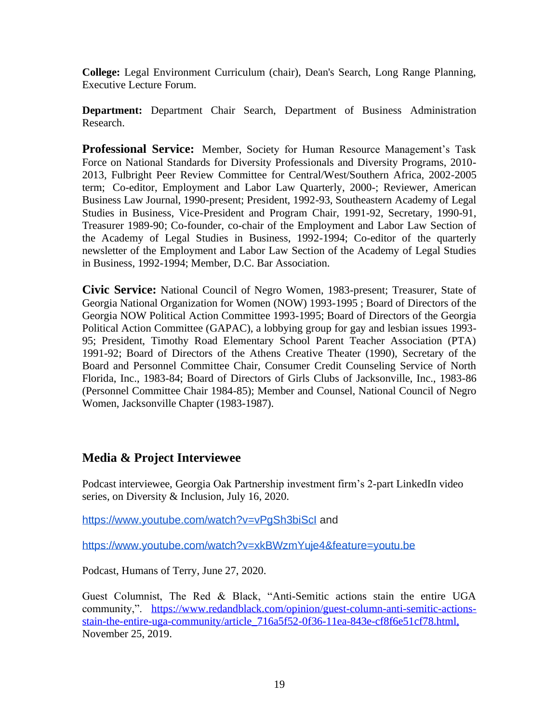**College:** Legal Environment Curriculum (chair), Dean's Search, Long Range Planning, Executive Lecture Forum.

**Department:** Department Chair Search, Department of Business Administration Research.

**Professional Service:** Member, Society for Human Resource Management's Task Force on National Standards for Diversity Professionals and Diversity Programs, 2010- 2013, Fulbright Peer Review Committee for Central/West/Southern Africa, 2002-2005 term; Co-editor, Employment and Labor Law Quarterly, 2000-; Reviewer, American Business Law Journal, 1990-present; President, 1992-93, Southeastern Academy of Legal Studies in Business, Vice-President and Program Chair, 1991-92, Secretary, 1990-91, Treasurer 1989-90; Co-founder, co-chair of the Employment and Labor Law Section of the Academy of Legal Studies in Business, 1992-1994; Co-editor of the quarterly newsletter of the Employment and Labor Law Section of the Academy of Legal Studies in Business, 1992-1994; Member, D.C. Bar Association.

**Civic Service:** National Council of Negro Women, 1983-present; Treasurer, State of Georgia National Organization for Women (NOW) 1993-1995 ; Board of Directors of the Georgia NOW Political Action Committee 1993-1995; Board of Directors of the Georgia Political Action Committee (GAPAC), a lobbying group for gay and lesbian issues 1993- 95; President, Timothy Road Elementary School Parent Teacher Association (PTA) 1991-92; Board of Directors of the Athens Creative Theater (1990), Secretary of the Board and Personnel Committee Chair, Consumer Credit Counseling Service of North Florida, Inc., 1983-84; Board of Directors of Girls Clubs of Jacksonville, Inc., 1983-86 (Personnel Committee Chair 1984-85); Member and Counsel, National Council of Negro Women, Jacksonville Chapter (1983-1987).

# **Media & Project Interviewee**

Podcast interviewee, Georgia Oak Partnership investment firm's 2-part LinkedIn video series, on Diversity & Inclusion, July 16, 2020.

https://www.youtube.com/watch?v=vPqSh3biScl and

<https://www.youtube.com/watch?v=xkBWzmYuje4&feature=youtu.be>

Podcast, Humans of Terry, June 27, 2020.

Guest Columnist, The Red & Black, "Anti-Semitic actions stain the entire UGA community,". [https://www.redandblack.com/opinion/guest-column-anti-semitic-actions](https://www.redandblack.com/opinion/guest-column-anti-semitic-actions-stain-the-entire-uga-community/article_716a5f52-0f36-11ea-843e-cf8f6e51cf78.html)[stain-the-entire-uga-community/article\\_716a5f52-0f36-11ea-843e-cf8f6e51cf78.html,](https://www.redandblack.com/opinion/guest-column-anti-semitic-actions-stain-the-entire-uga-community/article_716a5f52-0f36-11ea-843e-cf8f6e51cf78.html) November 25, 2019.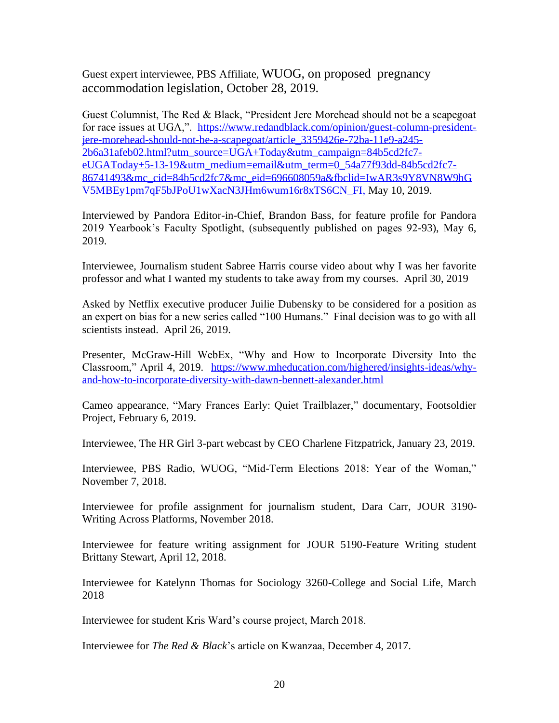Guest expert interviewee, PBS Affiliate, WUOG, on proposed pregnancy accommodation legislation, October 28, 2019.

Guest Columnist, The Red & Black, "President Jere Morehead should not be a scapegoat for race issues at UGA,". [https://www.redandblack.com/opinion/guest-column-president](https://www.redandblack.com/opinion/guest-column-president-jere-morehead-should-not-be-a-scapegoat/article_3359426e-72ba-11e9-a245-2b6a31afeb02.html?utm_source=UGA+Today&utm_campaign=84b5cd2fc7-eUGAToday+5-13-19&utm_medium=email&utm_term=0_54a77f93dd-84b5cd2fc7-86741493&mc_cid=84b5cd2fc7&mc_eid=696608059a&fbclid=IwAR3s9Y8VN8W9hGV5MBEy1pm7qF5bJPoU1wXacN3JHm6wum16r8xTS6CN_FI)[jere-morehead-should-not-be-a-scapegoat/article\\_3359426e-72ba-11e9-a245-](https://www.redandblack.com/opinion/guest-column-president-jere-morehead-should-not-be-a-scapegoat/article_3359426e-72ba-11e9-a245-2b6a31afeb02.html?utm_source=UGA+Today&utm_campaign=84b5cd2fc7-eUGAToday+5-13-19&utm_medium=email&utm_term=0_54a77f93dd-84b5cd2fc7-86741493&mc_cid=84b5cd2fc7&mc_eid=696608059a&fbclid=IwAR3s9Y8VN8W9hGV5MBEy1pm7qF5bJPoU1wXacN3JHm6wum16r8xTS6CN_FI) [2b6a31afeb02.html?utm\\_source=UGA+Today&utm\\_campaign=84b5cd2fc7](https://www.redandblack.com/opinion/guest-column-president-jere-morehead-should-not-be-a-scapegoat/article_3359426e-72ba-11e9-a245-2b6a31afeb02.html?utm_source=UGA+Today&utm_campaign=84b5cd2fc7-eUGAToday+5-13-19&utm_medium=email&utm_term=0_54a77f93dd-84b5cd2fc7-86741493&mc_cid=84b5cd2fc7&mc_eid=696608059a&fbclid=IwAR3s9Y8VN8W9hGV5MBEy1pm7qF5bJPoU1wXacN3JHm6wum16r8xTS6CN_FI) [eUGAToday+5-13-19&utm\\_medium=email&utm\\_term=0\\_54a77f93dd-84b5cd2fc7-](https://www.redandblack.com/opinion/guest-column-president-jere-morehead-should-not-be-a-scapegoat/article_3359426e-72ba-11e9-a245-2b6a31afeb02.html?utm_source=UGA+Today&utm_campaign=84b5cd2fc7-eUGAToday+5-13-19&utm_medium=email&utm_term=0_54a77f93dd-84b5cd2fc7-86741493&mc_cid=84b5cd2fc7&mc_eid=696608059a&fbclid=IwAR3s9Y8VN8W9hGV5MBEy1pm7qF5bJPoU1wXacN3JHm6wum16r8xTS6CN_FI) [86741493&mc\\_cid=84b5cd2fc7&mc\\_eid=696608059a&fbclid=IwAR3s9Y8VN8W9hG](https://www.redandblack.com/opinion/guest-column-president-jere-morehead-should-not-be-a-scapegoat/article_3359426e-72ba-11e9-a245-2b6a31afeb02.html?utm_source=UGA+Today&utm_campaign=84b5cd2fc7-eUGAToday+5-13-19&utm_medium=email&utm_term=0_54a77f93dd-84b5cd2fc7-86741493&mc_cid=84b5cd2fc7&mc_eid=696608059a&fbclid=IwAR3s9Y8VN8W9hGV5MBEy1pm7qF5bJPoU1wXacN3JHm6wum16r8xTS6CN_FI) [V5MBEy1pm7qF5bJPoU1wXacN3JHm6wum16r8xTS6CN\\_FI,](https://www.redandblack.com/opinion/guest-column-president-jere-morehead-should-not-be-a-scapegoat/article_3359426e-72ba-11e9-a245-2b6a31afeb02.html?utm_source=UGA+Today&utm_campaign=84b5cd2fc7-eUGAToday+5-13-19&utm_medium=email&utm_term=0_54a77f93dd-84b5cd2fc7-86741493&mc_cid=84b5cd2fc7&mc_eid=696608059a&fbclid=IwAR3s9Y8VN8W9hGV5MBEy1pm7qF5bJPoU1wXacN3JHm6wum16r8xTS6CN_FI) May 10, 2019.

Interviewed by Pandora Editor-in-Chief, Brandon Bass, for feature profile for Pandora 2019 Yearbook's Faculty Spotlight, (subsequently published on pages 92-93), May 6, 2019.

Interviewee, Journalism student Sabree Harris course video about why I was her favorite professor and what I wanted my students to take away from my courses. April 30, 2019

Asked by Netflix executive producer Juilie Dubensky to be considered for a position as an expert on bias for a new series called "100 Humans." Final decision was to go with all scientists instead. April 26, 2019.

Presenter, McGraw-Hill WebEx, "Why and How to Incorporate Diversity Into the Classroom," April 4, 2019. [https://www.mheducation.com/highered/insights-ideas/why](https://www.mheducation.com/highered/insights-ideas/why-and-how-to-incorporate-diversity-with-dawn-bennett-alexander.html)[and-how-to-incorporate-diversity-with-dawn-bennett-alexander.html](https://www.mheducation.com/highered/insights-ideas/why-and-how-to-incorporate-diversity-with-dawn-bennett-alexander.html)

Cameo appearance, "Mary Frances Early: Quiet Trailblazer," documentary, Footsoldier Project, February 6, 2019.

Interviewee, The HR Girl 3-part webcast by CEO Charlene Fitzpatrick, January 23, 2019.

Interviewee, PBS Radio, WUOG, "Mid-Term Elections 2018: Year of the Woman," November 7, 2018.

Interviewee for profile assignment for journalism student, Dara Carr, JOUR 3190- Writing Across Platforms, November 2018.

Interviewee for feature writing assignment for JOUR 5190-Feature Writing student Brittany Stewart, April 12, 2018.

Interviewee for Katelynn Thomas for Sociology 3260-College and Social Life, March 2018

Interviewee for student Kris Ward's course project, March 2018.

Interviewee for *The Red & Black*'s article on Kwanzaa, December 4, 2017.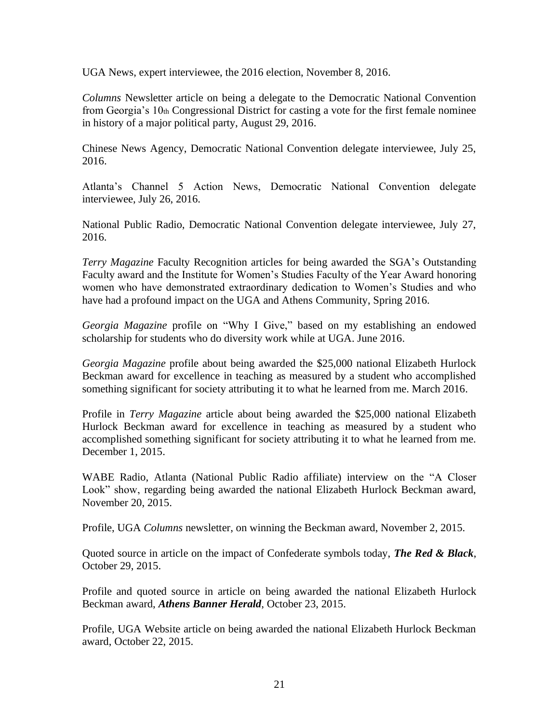UGA News, expert interviewee, the 2016 election, November 8, 2016.

*Columns* Newsletter article on being a delegate to the Democratic National Convention from Georgia's 10th Congressional District for casting a vote for the first female nominee in history of a major political party, August 29, 2016.

Chinese News Agency, Democratic National Convention delegate interviewee, July 25, 2016.

Atlanta's Channel 5 Action News, Democratic National Convention delegate interviewee, July 26, 2016.

National Public Radio, Democratic National Convention delegate interviewee, July 27, 2016.

*Terry Magazine* Faculty Recognition articles for being awarded the SGA's Outstanding Faculty award and the Institute for Women's Studies Faculty of the Year Award honoring women who have demonstrated extraordinary dedication to Women's Studies and who have had a profound impact on the UGA and Athens Community, Spring 2016.

*Georgia Magazine* profile on "Why I Give," based on my establishing an endowed scholarship for students who do diversity work while at UGA. June 2016.

*Georgia Magazine* profile about being awarded the \$25,000 national Elizabeth Hurlock Beckman award for excellence in teaching as measured by a student who accomplished something significant for society attributing it to what he learned from me. March 2016.

Profile in *Terry Magazine* article about being awarded the \$25,000 national Elizabeth Hurlock Beckman award for excellence in teaching as measured by a student who accomplished something significant for society attributing it to what he learned from me. December 1, 2015.

WABE Radio, Atlanta (National Public Radio affiliate) interview on the "A Closer Look" show, regarding being awarded the national Elizabeth Hurlock Beckman award, November 20, 2015.

Profile, UGA *Columns* newsletter, on winning the Beckman award, November 2, 2015.

Quoted source in article on the impact of Confederate symbols today, *The Red & Black*, October 29, 2015.

Profile and quoted source in article on being awarded the national Elizabeth Hurlock Beckman award, *Athens Banner Herald*, October 23, 2015.

Profile, UGA Website article on being awarded the national Elizabeth Hurlock Beckman award, October 22, 2015.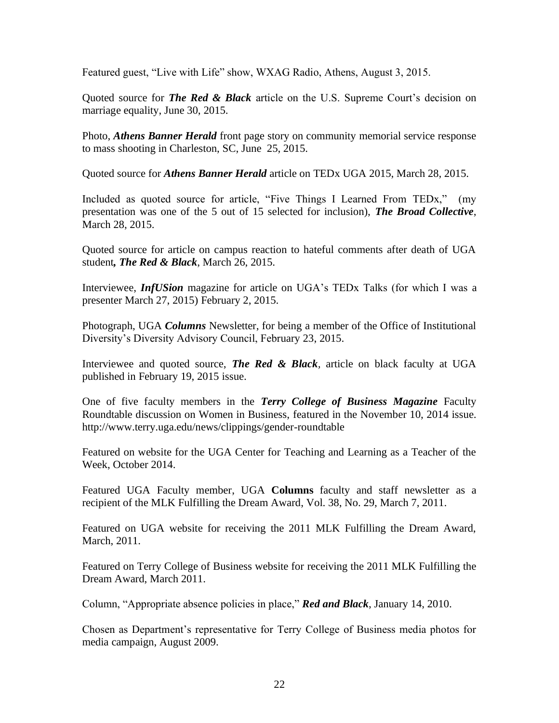Featured guest, "Live with Life" show, WXAG Radio, Athens, August 3, 2015.

Quoted source for *The Red & Black* article on the U.S. Supreme Court's decision on marriage equality, June 30, 2015.

Photo, *Athens Banner Herald* front page story on community memorial service response to mass shooting in Charleston, SC, June 25, 2015.

Quoted source for *Athens Banner Herald* article on TEDx UGA 2015, March 28, 2015.

Included as quoted source for article, "Five Things I Learned From TEDx," (my presentation was one of the 5 out of 15 selected for inclusion), *The Broad Collective*, March 28, 2015.

Quoted source for article on campus reaction to hateful comments after death of UGA student*, The Red & Black*, March 26, 2015.

Interviewee, *InfUSion* magazine for article on UGA's TEDx Talks (for which I was a presenter March 27, 2015) February 2, 2015.

Photograph, UGA *Columns* Newsletter, for being a member of the Office of Institutional Diversity's Diversity Advisory Council, February 23, 2015.

Interviewee and quoted source, *The Red & Black,* article on black faculty at UGA published in February 19, 2015 issue.

One of five faculty members in the *Terry College of Business Magazine* Faculty Roundtable discussion on Women in Business, featured in the November 10, 2014 issue. http://www.terry.uga.edu/news/clippings/gender-roundtable

Featured on website for the UGA Center for Teaching and Learning as a Teacher of the Week, October 2014.

Featured UGA Faculty member, UGA **Columns** faculty and staff newsletter as a recipient of the MLK Fulfilling the Dream Award, Vol. 38, No. 29, March 7, 2011.

Featured on UGA website for receiving the 2011 MLK Fulfilling the Dream Award, March, 2011.

Featured on Terry College of Business website for receiving the 2011 MLK Fulfilling the Dream Award, March 2011.

Column, "Appropriate absence policies in place," *Red and Black*, January 14, 2010.

Chosen as Department's representative for Terry College of Business media photos for media campaign, August 2009.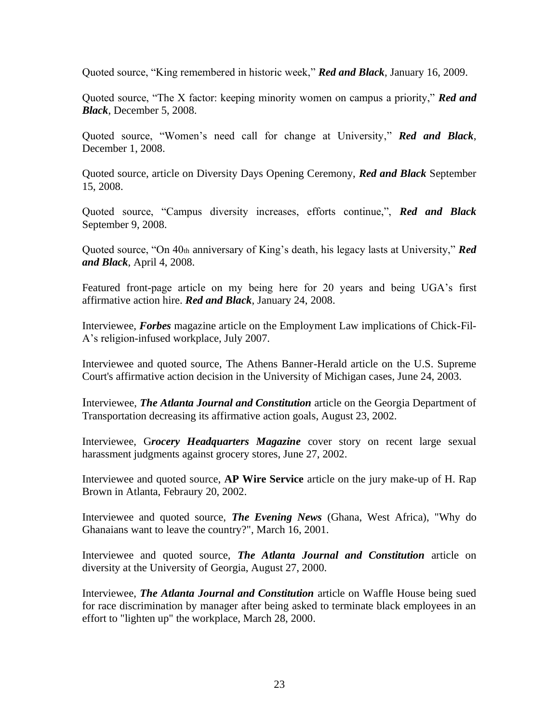Quoted source, "King remembered in historic week," *Red and Black*, January 16, 2009.

Quoted source, "The X factor: keeping minority women on campus a priority," *Red and Black*, December 5, 2008.

Quoted source, "Women's need call for change at University," *Red and Black*, December 1, 2008.

Quoted source, article on Diversity Days Opening Ceremony, *Red and Black* September 15, 2008.

Quoted source, "Campus diversity increases, efforts continue,", *Red and Black* September 9, 2008.

Quoted source, "On 40th anniversary of King's death, his legacy lasts at University," *Red and Black*, April 4, 2008.

Featured front-page article on my being here for 20 years and being UGA's first affirmative action hire. *Red and Black*, January 24, 2008.

Interviewee, *Forbes* magazine article on the Employment Law implications of Chick-Fil-A's religion-infused workplace, July 2007.

Interviewee and quoted source, The Athens Banner-Herald article on the U.S. Supreme Court's affirmative action decision in the University of Michigan cases, June 24, 2003.

Interviewee, *The Atlanta Journal and Constitution* article on the Georgia Department of Transportation decreasing its affirmative action goals, August 23, 2002.

Interviewee, G*rocery Headquarters Magazine* cover story on recent large sexual harassment judgments against grocery stores, June 27, 2002.

Interviewee and quoted source, **AP Wire Service** article on the jury make-up of H. Rap Brown in Atlanta, Febraury 20, 2002.

Interviewee and quoted source, *The Evening News* (Ghana, West Africa), "Why do Ghanaians want to leave the country?", March 16, 2001.

Interviewee and quoted source, *The Atlanta Journal and Constitution* article on diversity at the University of Georgia, August 27, 2000.

Interviewee, *The Atlanta Journal and Constitution* article on Waffle House being sued for race discrimination by manager after being asked to terminate black employees in an effort to "lighten up" the workplace, March 28, 2000.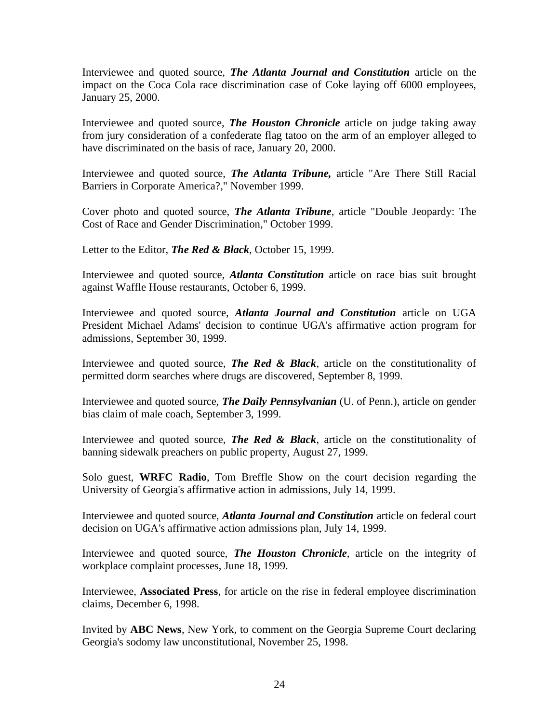Interviewee and quoted source, *The Atlanta Journal and Constitution* article on the impact on the Coca Cola race discrimination case of Coke laying off 6000 employees, January 25, 2000.

Interviewee and quoted source, *The Houston Chronicle* article on judge taking away from jury consideration of a confederate flag tatoo on the arm of an employer alleged to have discriminated on the basis of race, January 20, 2000.

Interviewee and quoted source, *The Atlanta Tribune,* article "Are There Still Racial Barriers in Corporate America?," November 1999.

Cover photo and quoted source, *The Atlanta Tribune*, article "Double Jeopardy: The Cost of Race and Gender Discrimination," October 1999.

Letter to the Editor, *The Red & Black*, October 15, 1999.

Interviewee and quoted source, *Atlanta Constitution* article on race bias suit brought against Waffle House restaurants, October 6, 1999.

Interviewee and quoted source, *Atlanta Journal and Constitution* article on UGA President Michael Adams' decision to continue UGA's affirmative action program for admissions, September 30, 1999.

Interviewee and quoted source, *The Red & Black*, article on the constitutionality of permitted dorm searches where drugs are discovered, September 8, 1999.

Interviewee and quoted source, *The Daily Pennsylvanian* (U. of Penn.), article on gender bias claim of male coach, September 3, 1999.

Interviewee and quoted source, *The Red & Black*, article on the constitutionality of banning sidewalk preachers on public property, August 27, 1999.

Solo guest, **WRFC Radio**, Tom Breffle Show on the court decision regarding the University of Georgia's affirmative action in admissions, July 14, 1999.

Interviewee and quoted source, *Atlanta Journal and Constitution* article on federal court decision on UGA's affirmative action admissions plan, July 14, 1999.

Interviewee and quoted source, *The Houston Chronicle*, article on the integrity of workplace complaint processes, June 18, 1999.

Interviewee, **Associated Press**, for article on the rise in federal employee discrimination claims, December 6, 1998.

Invited by **ABC News**, New York, to comment on the Georgia Supreme Court declaring Georgia's sodomy law unconstitutional, November 25, 1998.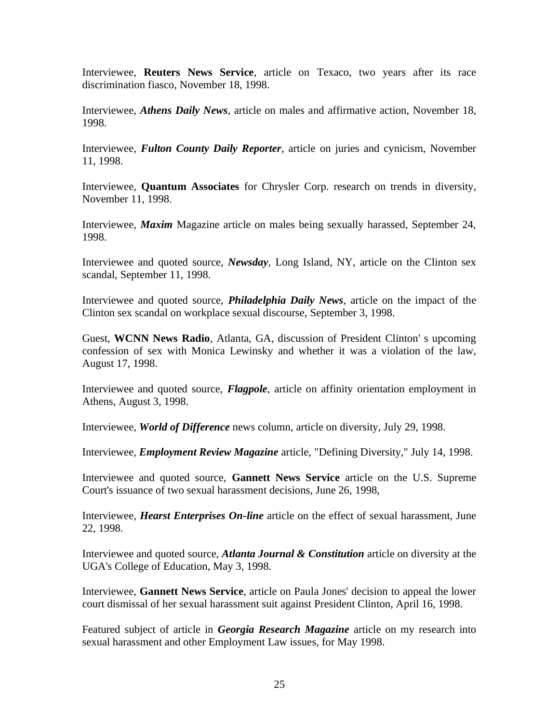Interviewee, **Reuters News Service**, article on Texaco, two years after its race discrimination fiasco, November 18, 1998.

Interviewee, *Athens Daily News*, article on males and affirmative action, November 18, 1998.

Interviewee, *Fulton County Daily Reporter*, article on juries and cynicism, November 11, 1998.

Interviewee, **Quantum Associates** for Chrysler Corp. research on trends in diversity, November 11, 1998.

Interviewee, *Maxim* Magazine article on males being sexually harassed, September 24, 1998.

Interviewee and quoted source, *Newsday*, Long Island, NY, article on the Clinton sex scandal, September 11, 1998.

Interviewee and quoted source, *Philadelphia Daily News*, article on the impact of the Clinton sex scandal on workplace sexual discourse, September 3, 1998.

Guest, **WCNN News Radio**, Atlanta, GA, discussion of President Clinton' s upcoming confession of sex with Monica Lewinsky and whether it was a violation of the law, August 17, 1998.

Interviewee and quoted source, *Flagpole*, article on affinity orientation employment in Athens, August 3, 1998.

Interviewee, *World of Difference* news column, article on diversity, July 29, 1998.

Interviewee, *Employment Review Magazine* article, "Defining Diversity," July 14, 1998.

Interviewee and quoted source, **Gannett News Service** article on the U.S. Supreme Court's issuance of two sexual harassment decisions, June 26, 1998,

Interviewee, *Hearst Enterprises On-line* article on the effect of sexual harassment, June 22, 1998.

Interviewee and quoted source, *Atlanta Journal & Constitution* article on diversity at the UGA's College of Education, May 3, 1998.

Interviewee, **Gannett News Service**, article on Paula Jones' decision to appeal the lower court dismissal of her sexual harassment suit against President Clinton, April 16, 1998.

Featured subject of article in *Georgia Research Magazine* article on my research into sexual harassment and other Employment Law issues, for May 1998.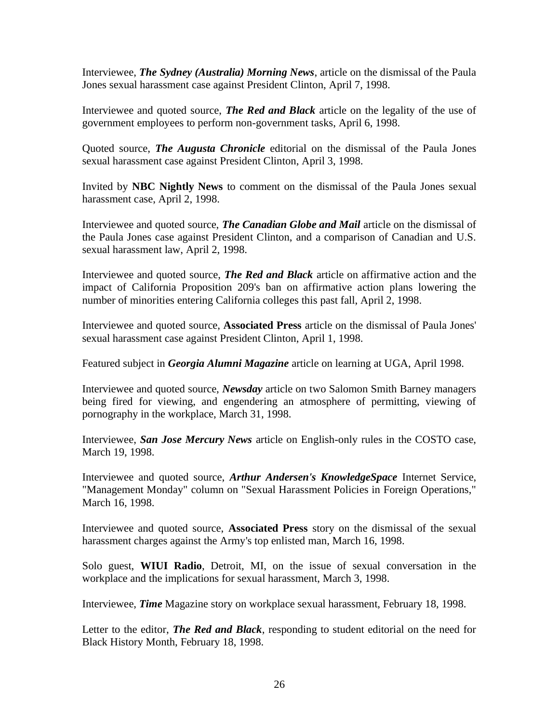Interviewee, *The Sydney (Australia) Morning News*, article on the dismissal of the Paula Jones sexual harassment case against President Clinton, April 7, 1998.

Interviewee and quoted source, *The Red and Black* article on the legality of the use of government employees to perform non-government tasks, April 6, 1998.

Quoted source, *The Augusta Chronicle* editorial on the dismissal of the Paula Jones sexual harassment case against President Clinton, April 3, 1998.

Invited by **NBC Nightly News** to comment on the dismissal of the Paula Jones sexual harassment case, April 2, 1998.

Interviewee and quoted source, *The Canadian Globe and Mail* article on the dismissal of the Paula Jones case against President Clinton, and a comparison of Canadian and U.S. sexual harassment law, April 2, 1998.

Interviewee and quoted source, *The Red and Black* article on affirmative action and the impact of California Proposition 209's ban on affirmative action plans lowering the number of minorities entering California colleges this past fall, April 2, 1998.

Interviewee and quoted source, **Associated Press** article on the dismissal of Paula Jones' sexual harassment case against President Clinton, April 1, 1998.

Featured subject in *Georgia Alumni Magazine* article on learning at UGA, April 1998.

Interviewee and quoted source, *Newsday* article on two Salomon Smith Barney managers being fired for viewing, and engendering an atmosphere of permitting, viewing of pornography in the workplace, March 31, 1998.

Interviewee, *San Jose Mercury News* article on English-only rules in the COSTO case, March 19, 1998.

Interviewee and quoted source, *Arthur Andersen's KnowledgeSpace* Internet Service, "Management Monday" column on "Sexual Harassment Policies in Foreign Operations," March 16, 1998.

Interviewee and quoted source, **Associated Press** story on the dismissal of the sexual harassment charges against the Army's top enlisted man, March 16, 1998.

Solo guest, **WIUI Radio**, Detroit, MI, on the issue of sexual conversation in the workplace and the implications for sexual harassment, March 3, 1998.

Interviewee, *Time* Magazine story on workplace sexual harassment, February 18, 1998.

Letter to the editor, *The Red and Black*, responding to student editorial on the need for Black History Month, February 18, 1998.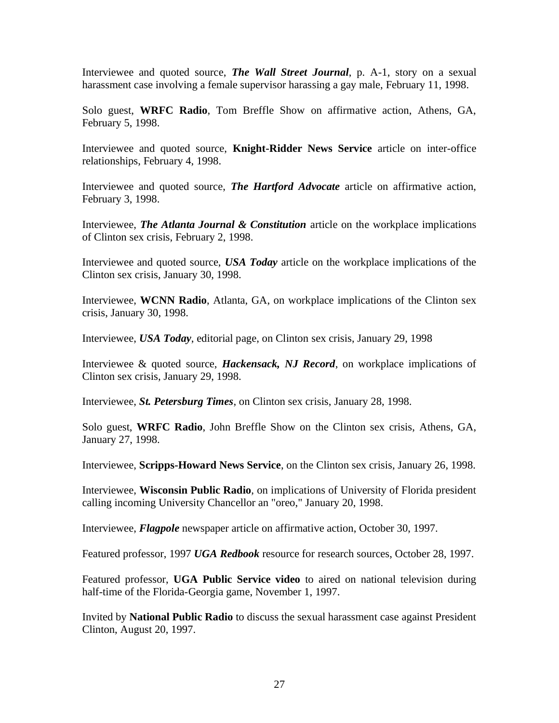Interviewee and quoted source, *The Wall Street Journal*, p. A-1, story on a sexual harassment case involving a female supervisor harassing a gay male, February 11, 1998.

Solo guest, **WRFC Radio**, Tom Breffle Show on affirmative action, Athens, GA, February 5, 1998.

Interviewee and quoted source, **Knight-Ridder News Service** article on inter-office relationships, February 4, 1998.

Interviewee and quoted source, *The Hartford Advocate* article on affirmative action, February 3, 1998.

Interviewee, *The Atlanta Journal & Constitution* article on the workplace implications of Clinton sex crisis, February 2, 1998.

Interviewee and quoted source, *USA Today* article on the workplace implications of the Clinton sex crisis, January 30, 1998.

Interviewee, **WCNN Radio**, Atlanta, GA, on workplace implications of the Clinton sex crisis, January 30, 1998.

Interviewee, *USA Today*, editorial page, on Clinton sex crisis, January 29, 1998

Interviewee & quoted source, *Hackensack, NJ Record*, on workplace implications of Clinton sex crisis, January 29, 1998.

Interviewee, *St. Petersburg Times*, on Clinton sex crisis, January 28, 1998.

Solo guest, **WRFC Radio**, John Breffle Show on the Clinton sex crisis, Athens, GA, January 27, 1998.

Interviewee, **Scripps-Howard News Service**, on the Clinton sex crisis, January 26, 1998.

Interviewee, **Wisconsin Public Radio**, on implications of University of Florida president calling incoming University Chancellor an "oreo," January 20, 1998.

Interviewee, *Flagpole* newspaper article on affirmative action, October 30, 1997.

Featured professor, 1997 *UGA Redbook* resource for research sources, October 28, 1997.

Featured professor, **UGA Public Service video** to aired on national television during half-time of the Florida-Georgia game, November 1, 1997.

Invited by **National Public Radio** to discuss the sexual harassment case against President Clinton, August 20, 1997.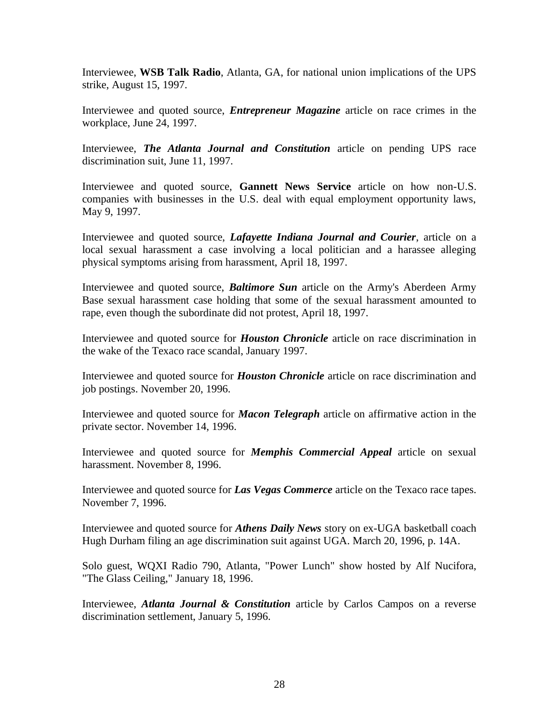Interviewee, **WSB Talk Radio**, Atlanta, GA, for national union implications of the UPS strike, August 15, 1997.

Interviewee and quoted source, *Entrepreneur Magazine* article on race crimes in the workplace, June 24, 1997.

Interviewee, *The Atlanta Journal and Constitution* article on pending UPS race discrimination suit, June 11, 1997.

Interviewee and quoted source, **Gannett News Service** article on how non-U.S. companies with businesses in the U.S. deal with equal employment opportunity laws, May 9, 1997.

Interviewee and quoted source, *Lafayette Indiana Journal and Courier*, article on a local sexual harassment a case involving a local politician and a harassee alleging physical symptoms arising from harassment, April 18, 1997.

Interviewee and quoted source, *Baltimore Sun* article on the Army's Aberdeen Army Base sexual harassment case holding that some of the sexual harassment amounted to rape, even though the subordinate did not protest, April 18, 1997.

Interviewee and quoted source for *Houston Chronicle* article on race discrimination in the wake of the Texaco race scandal, January 1997.

Interviewee and quoted source for *Houston Chronicle* article on race discrimination and job postings. November 20, 1996.

Interviewee and quoted source for *Macon Telegraph* article on affirmative action in the private sector. November 14, 1996.

Interviewee and quoted source for *Memphis Commercial Appeal* article on sexual harassment. November 8, 1996.

Interviewee and quoted source for *Las Vegas Commerce* article on the Texaco race tapes. November 7, 1996.

Interviewee and quoted source for *Athens Daily News* story on ex-UGA basketball coach Hugh Durham filing an age discrimination suit against UGA. March 20, 1996, p. 14A.

Solo guest, WQXI Radio 790, Atlanta, "Power Lunch" show hosted by Alf Nucifora, "The Glass Ceiling," January 18, 1996.

Interviewee, *Atlanta Journal & Constitution* article by Carlos Campos on a reverse discrimination settlement, January 5, 1996.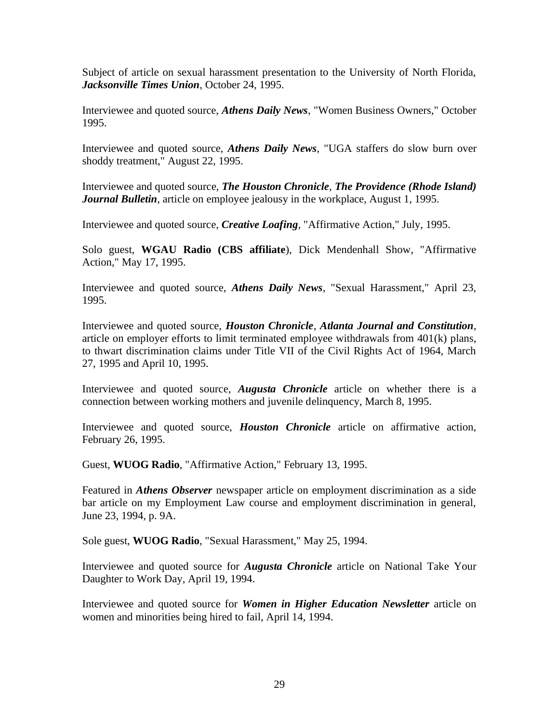Subject of article on sexual harassment presentation to the University of North Florida, *Jacksonville Times Union*, October 24, 1995.

Interviewee and quoted source, *Athens Daily News*, "Women Business Owners," October 1995.

Interviewee and quoted source, *Athens Daily News*, "UGA staffers do slow burn over shoddy treatment," August 22, 1995.

Interviewee and quoted source, *The Houston Chronicle*, *The Providence (Rhode Island) Journal Bulletin*, article on employee jealousy in the workplace, August 1, 1995.

Interviewee and quoted source, *Creative Loafing*, "Affirmative Action," July, 1995.

Solo guest, **WGAU Radio (CBS affiliate**), Dick Mendenhall Show, "Affirmative Action," May 17, 1995.

Interviewee and quoted source, *Athens Daily News*, "Sexual Harassment," April 23, 1995.

Interviewee and quoted source, *Houston Chronicle*, *Atlanta Journal and Constitution*, article on employer efforts to limit terminated employee withdrawals from 401(k) plans, to thwart discrimination claims under Title VII of the Civil Rights Act of 1964, March 27, 1995 and April 10, 1995.

Interviewee and quoted source, *Augusta Chronicle* article on whether there is a connection between working mothers and juvenile delinquency, March 8, 1995.

Interviewee and quoted source, *Houston Chronicle* article on affirmative action, February 26, 1995.

Guest, **WUOG Radio**, "Affirmative Action," February 13, 1995.

Featured in *Athens Observer* newspaper article on employment discrimination as a side bar article on my Employment Law course and employment discrimination in general, June 23, 1994, p. 9A.

Sole guest, **WUOG Radio**, "Sexual Harassment," May 25, 1994.

Interviewee and quoted source for *Augusta Chronicle* article on National Take Your Daughter to Work Day, April 19, 1994.

Interviewee and quoted source for *Women in Higher Education Newsletter* article on women and minorities being hired to fail, April 14, 1994.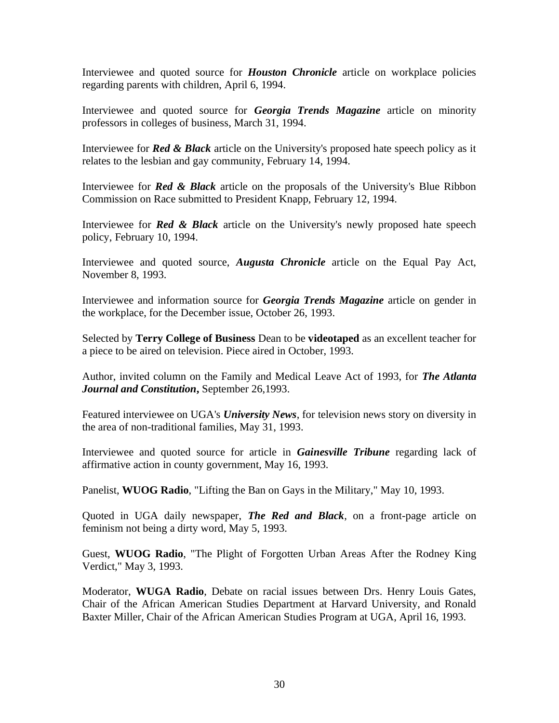Interviewee and quoted source for *Houston Chronicle* article on workplace policies regarding parents with children, April 6, 1994.

Interviewee and quoted source for *Georgia Trends Magazine* article on minority professors in colleges of business, March 31, 1994.

Interviewee for *Red & Black* article on the University's proposed hate speech policy as it relates to the lesbian and gay community, February 14, 1994.

Interviewee for *Red & Black* article on the proposals of the University's Blue Ribbon Commission on Race submitted to President Knapp, February 12, 1994.

Interviewee for *Red & Black* article on the University's newly proposed hate speech policy, February 10, 1994.

Interviewee and quoted source, *Augusta Chronicle* article on the Equal Pay Act, November 8, 1993.

Interviewee and information source for *Georgia Trends Magazine* article on gender in the workplace, for the December issue, October 26, 1993.

Selected by **Terry College of Business** Dean to be **videotaped** as an excellent teacher for a piece to be aired on television. Piece aired in October, 1993.

Author, invited column on the Family and Medical Leave Act of 1993, for *The Atlanta Journal and Constitution***,** September 26,1993.

Featured interviewee on UGA's *University News*, for television news story on diversity in the area of non-traditional families, May 31, 1993.

Interviewee and quoted source for article in *Gainesville Tribune* regarding lack of affirmative action in county government, May 16, 1993.

Panelist, **WUOG Radio**, "Lifting the Ban on Gays in the Military," May 10, 1993.

Quoted in UGA daily newspaper, *The Red and Black*, on a front-page article on feminism not being a dirty word, May 5, 1993.

Guest, **WUOG Radio**, "The Plight of Forgotten Urban Areas After the Rodney King Verdict," May 3, 1993.

Moderator, **WUGA Radio**, Debate on racial issues between Drs. Henry Louis Gates, Chair of the African American Studies Department at Harvard University, and Ronald Baxter Miller, Chair of the African American Studies Program at UGA, April 16, 1993.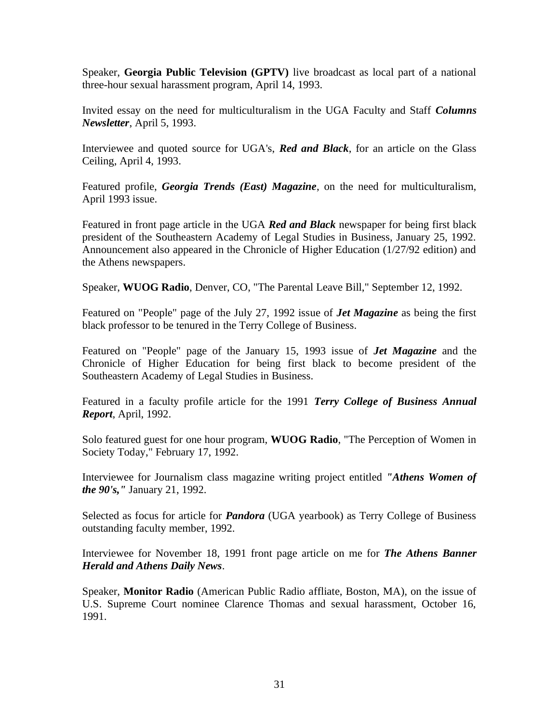Speaker, **Georgia Public Television (GPTV)** live broadcast as local part of a national three-hour sexual harassment program, April 14, 1993.

Invited essay on the need for multiculturalism in the UGA Faculty and Staff *Columns Newsletter*, April 5, 1993.

Interviewee and quoted source for UGA's, *Red and Black*, for an article on the Glass Ceiling, April 4, 1993.

Featured profile, *Georgia Trends (East) Magazine*, on the need for multiculturalism, April 1993 issue.

Featured in front page article in the UGA *Red and Black* newspaper for being first black president of the Southeastern Academy of Legal Studies in Business, January 25, 1992. Announcement also appeared in the Chronicle of Higher Education (1/27/92 edition) and the Athens newspapers.

Speaker, **WUOG Radio**, Denver, CO, "The Parental Leave Bill," September 12, 1992.

Featured on "People" page of the July 27, 1992 issue of *Jet Magazine* as being the first black professor to be tenured in the Terry College of Business.

Featured on "People" page of the January 15, 1993 issue of *Jet Magazine* and the Chronicle of Higher Education for being first black to become president of the Southeastern Academy of Legal Studies in Business.

Featured in a faculty profile article for the 1991 *Terry College of Business Annual Report*, April, 1992.

Solo featured guest for one hour program, **WUOG Radio**, "The Perception of Women in Society Today," February 17, 1992.

Interviewee for Journalism class magazine writing project entitled *"Athens Women of the 90's,"* January 21, 1992.

Selected as focus for article for *Pandora* (UGA yearbook) as Terry College of Business outstanding faculty member, 1992.

Interviewee for November 18, 1991 front page article on me for *The Athens Banner Herald and Athens Daily News*.

Speaker, **Monitor Radio** (American Public Radio affliate, Boston, MA), on the issue of U.S. Supreme Court nominee Clarence Thomas and sexual harassment, October 16, 1991.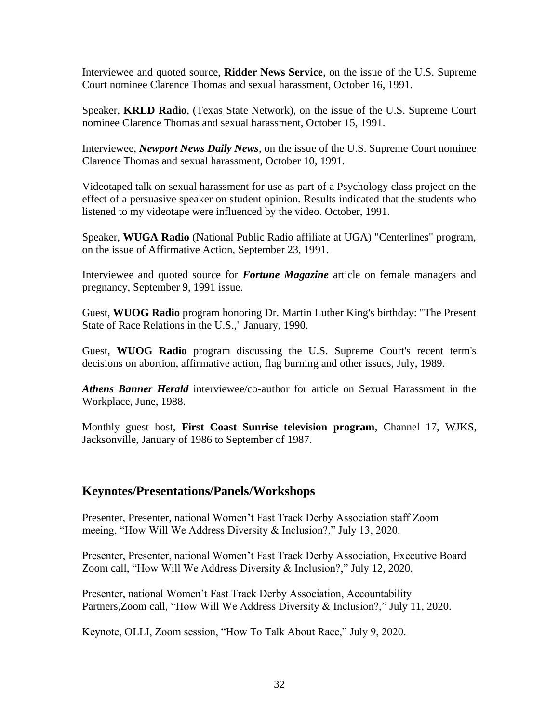Interviewee and quoted source, **Ridder News Service**, on the issue of the U.S. Supreme Court nominee Clarence Thomas and sexual harassment, October 16, 1991.

Speaker, **KRLD Radio**, (Texas State Network), on the issue of the U.S. Supreme Court nominee Clarence Thomas and sexual harassment, October 15, 1991.

Interviewee, *Newport News Daily News*, on the issue of the U.S. Supreme Court nominee Clarence Thomas and sexual harassment, October 10, 1991.

Videotaped talk on sexual harassment for use as part of a Psychology class project on the effect of a persuasive speaker on student opinion. Results indicated that the students who listened to my videotape were influenced by the video. October, 1991.

Speaker, **WUGA Radio** (National Public Radio affiliate at UGA) "Centerlines" program, on the issue of Affirmative Action, September 23, 1991.

Interviewee and quoted source for *Fortune Magazine* article on female managers and pregnancy, September 9, 1991 issue.

Guest, **WUOG Radio** program honoring Dr. Martin Luther King's birthday: "The Present State of Race Relations in the U.S.," January, 1990.

Guest, **WUOG Radio** program discussing the U.S. Supreme Court's recent term's decisions on abortion, affirmative action, flag burning and other issues, July, 1989.

*Athens Banner Herald* interviewee/co-author for article on Sexual Harassment in the Workplace, June, 1988.

Monthly guest host, **First Coast Sunrise television program**, Channel 17, WJKS, Jacksonville, January of 1986 to September of 1987.

## **Keynotes/Presentations/Panels/Workshops**

Presenter, Presenter, national Women't Fast Track Derby Association staff Zoom meeing, "How Will We Address Diversity & Inclusion?," July 13, 2020.

Presenter, Presenter, national Women't Fast Track Derby Association, Executive Board Zoom call, "How Will We Address Diversity & Inclusion?," July 12, 2020.

Presenter, national Women't Fast Track Derby Association, Accountability Partners,Zoom call, "How Will We Address Diversity & Inclusion?," July 11, 2020.

Keynote, OLLI, Zoom session, "How To Talk About Race," July 9, 2020.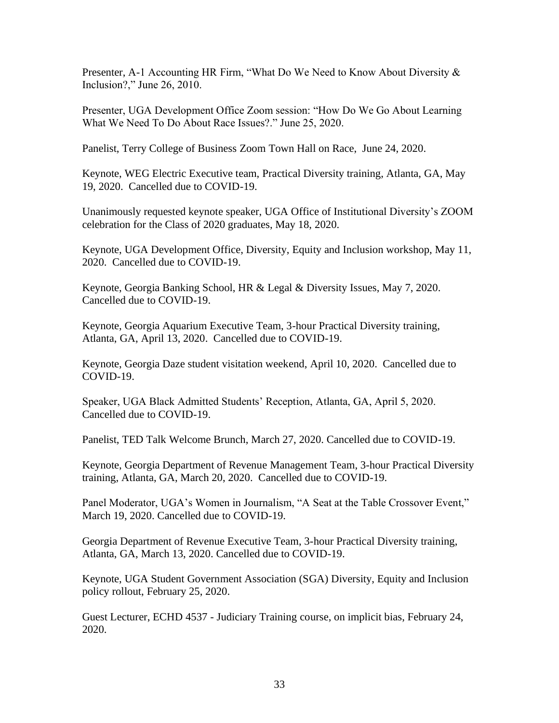Presenter, A-1 Accounting HR Firm, "What Do We Need to Know About Diversity & Inclusion?," June 26, 2010.

Presenter, UGA Development Office Zoom session: "How Do We Go About Learning What We Need To Do About Race Issues?." June 25, 2020.

Panelist, Terry College of Business Zoom Town Hall on Race, June 24, 2020.

Keynote, WEG Electric Executive team, Practical Diversity training, Atlanta, GA, May 19, 2020. Cancelled due to COVID-19.

Unanimously requested keynote speaker, UGA Office of Institutional Diversity's ZOOM celebration for the Class of 2020 graduates, May 18, 2020.

Keynote, UGA Development Office, Diversity, Equity and Inclusion workshop, May 11, 2020. Cancelled due to COVID-19.

Keynote, Georgia Banking School, HR & Legal & Diversity Issues, May 7, 2020. Cancelled due to COVID-19.

Keynote, Georgia Aquarium Executive Team, 3-hour Practical Diversity training, Atlanta, GA, April 13, 2020. Cancelled due to COVID-19.

Keynote, Georgia Daze student visitation weekend, April 10, 2020. Cancelled due to COVID-19.

Speaker, UGA Black Admitted Students' Reception, Atlanta, GA, April 5, 2020. Cancelled due to COVID-19.

Panelist, TED Talk Welcome Brunch, March 27, 2020. Cancelled due to COVID-19.

Keynote, Georgia Department of Revenue Management Team, 3-hour Practical Diversity training, Atlanta, GA, March 20, 2020. Cancelled due to COVID-19.

Panel Moderator, UGA's Women in Journalism, "A Seat at the Table Crossover Event," March 19, 2020. Cancelled due to COVID-19.

Georgia Department of Revenue Executive Team, 3-hour Practical Diversity training, Atlanta, GA, March 13, 2020. Cancelled due to COVID-19.

Keynote, UGA Student Government Association (SGA) Diversity, Equity and Inclusion policy rollout, February 25, 2020.

Guest Lecturer, ECHD 4537 - Judiciary Training course, on implicit bias, February 24, 2020.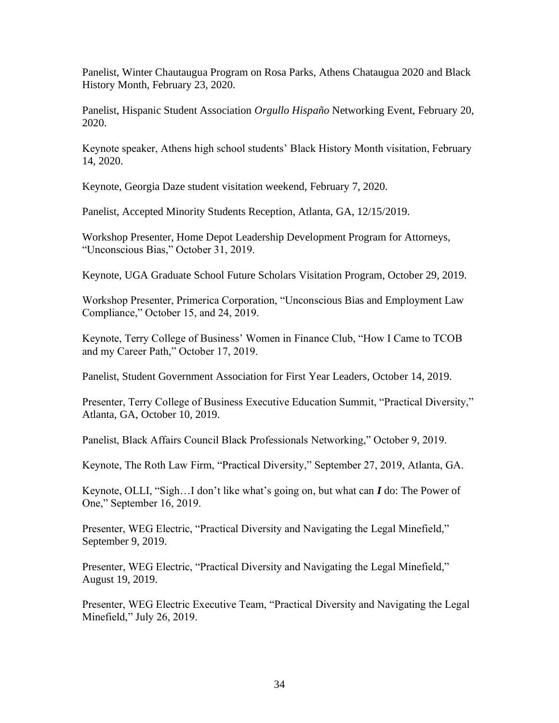Panelist, Winter Chautaugua Program on Rosa Parks, Athens Chataugua 2020 and Black History Month, February 23, 2020.

Panelist, Hispanic Student Association *Orgullo Hispaño* Networking Event, February 20, 2020.

Keynote speaker, Athens high school students' Black History Month visitation, February 14, 2020.

Keynote, Georgia Daze student visitation weekend, February 7, 2020.

Panelist, Accepted Minority Students Reception, Atlanta, GA, 12/15/2019.

Workshop Presenter, Home Depot Leadership Development Program for Attorneys, "Unconscious Bias," October 31, 2019.

Keynote, UGA Graduate School Future Scholars Visitation Program, October 29, 2019.

Workshop Presenter, Primerica Corporation, "Unconscious Bias and Employment Law Compliance," October 15, and 24, 2019.

Keynote, Terry College of Business' Women in Finance Club, "How I Came to TCOB and my Career Path," October 17, 2019.

Panelist, Student Government Association for First Year Leaders, October 14, 2019.

Presenter, Terry College of Business Executive Education Summit, "Practical Diversity," Atlanta, GA, October 10, 2019.

Panelist, Black Affairs Council Black Professionals Networking," October 9, 2019.

Keynote, The Roth Law Firm, "Practical Diversity," September 27, 2019, Atlanta, GA.

Keynote, OLLI, "Sigh…I don't like what's going on, but what can *I* do: The Power of One," September 16, 2019.

Presenter, WEG Electric, "Practical Diversity and Navigating the Legal Minefield," September 9, 2019.

Presenter, WEG Electric, "Practical Diversity and Navigating the Legal Minefield," August 19, 2019.

Presenter, WEG Electric Executive Team, "Practical Diversity and Navigating the Legal Minefield," July 26, 2019.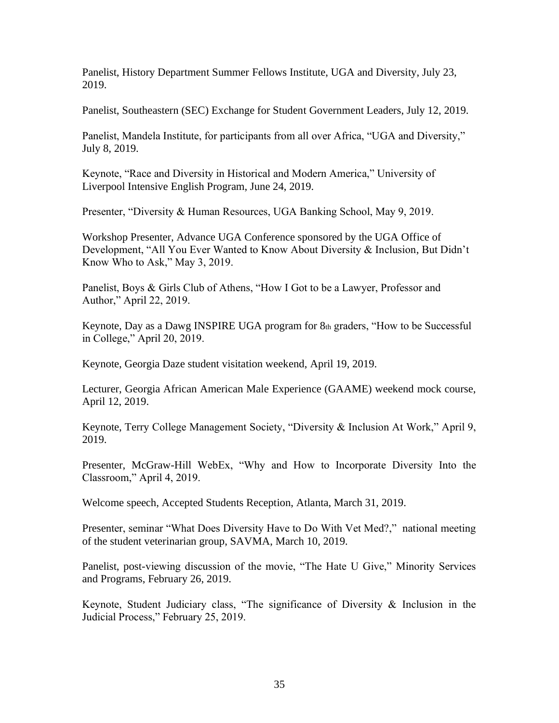Panelist, History Department Summer Fellows Institute, UGA and Diversity, July 23, 2019.

Panelist, Southeastern (SEC) Exchange for Student Government Leaders, July 12, 2019.

Panelist, Mandela Institute, for participants from all over Africa, "UGA and Diversity," July 8, 2019.

Keynote, "Race and Diversity in Historical and Modern America," University of Liverpool Intensive English Program, June 24, 2019.

Presenter, "Diversity & Human Resources, UGA Banking School, May 9, 2019.

Workshop Presenter, Advance UGA Conference sponsored by the UGA Office of Development, "All You Ever Wanted to Know About Diversity & Inclusion, But Didn't Know Who to Ask," May 3, 2019.

Panelist, Boys & Girls Club of Athens, "How I Got to be a Lawyer, Professor and Author," April 22, 2019.

Keynote, Day as a Dawg INSPIRE UGA program for 8th graders, "How to be Successful in College," April 20, 2019.

Keynote, Georgia Daze student visitation weekend, April 19, 2019.

Lecturer, Georgia African American Male Experience (GAAME) weekend mock course, April 12, 2019.

Keynote, Terry College Management Society, "Diversity & Inclusion At Work," April 9, 2019.

Presenter, McGraw-Hill WebEx, "Why and How to Incorporate Diversity Into the Classroom," April 4, 2019.

Welcome speech, Accepted Students Reception, Atlanta, March 31, 2019.

Presenter, seminar "What Does Diversity Have to Do With Vet Med?," national meeting of the student veterinarian group, SAVMA, March 10, 2019.

Panelist, post-viewing discussion of the movie, "The Hate U Give," Minority Services and Programs, February 26, 2019.

Keynote, Student Judiciary class, "The significance of Diversity & Inclusion in the Judicial Process," February 25, 2019.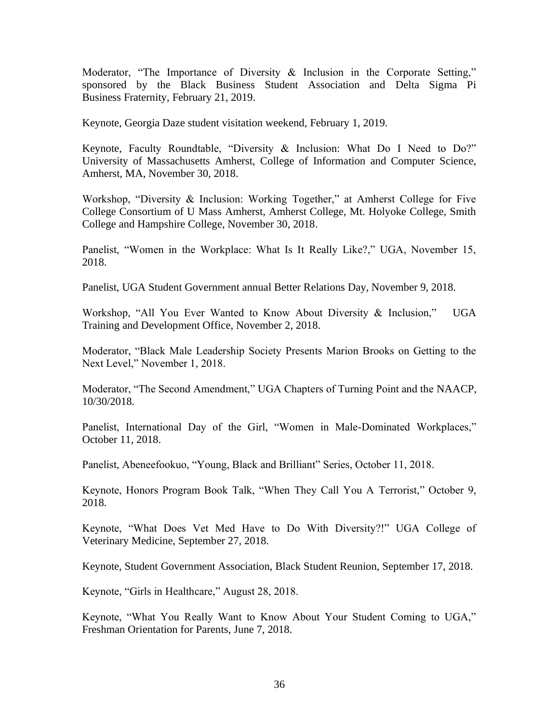Moderator, "The Importance of Diversity  $\&$  Inclusion in the Corporate Setting," sponsored by the Black Business Student Association and Delta Sigma Pi Business Fraternity, February 21, 2019.

Keynote, Georgia Daze student visitation weekend, February 1, 2019.

Keynote, Faculty Roundtable, "Diversity & Inclusion: What Do I Need to Do?" University of Massachusetts Amherst, College of Information and Computer Science, Amherst, MA, November 30, 2018.

Workshop, "Diversity & Inclusion: Working Together," at Amherst College for Five College Consortium of U Mass Amherst, Amherst College, Mt. Holyoke College, Smith College and Hampshire College, November 30, 2018.

Panelist, "Women in the Workplace: What Is It Really Like?," UGA, November 15, 2018.

Panelist, UGA Student Government annual Better Relations Day, November 9, 2018.

Workshop, "All You Ever Wanted to Know About Diversity & Inclusion," UGA Training and Development Office, November 2, 2018.

Moderator, "Black Male Leadership Society Presents Marion Brooks on Getting to the Next Level," November 1, 2018.

Moderator, "The Second Amendment," UGA Chapters of Turning Point and the NAACP, 10/30/2018.

Panelist, International Day of the Girl, "Women in Male-Dominated Workplaces," October 11, 2018.

Panelist, Abeneefookuo, "Young, Black and Brilliant" Series, October 11, 2018.

Keynote, Honors Program Book Talk, "When They Call You A Terrorist," October 9, 2018.

Keynote, "What Does Vet Med Have to Do With Diversity?!" UGA College of Veterinary Medicine, September 27, 2018.

Keynote, Student Government Association, Black Student Reunion, September 17, 2018.

Keynote, "Girls in Healthcare," August 28, 2018.

Keynote, "What You Really Want to Know About Your Student Coming to UGA," Freshman Orientation for Parents, June 7, 2018.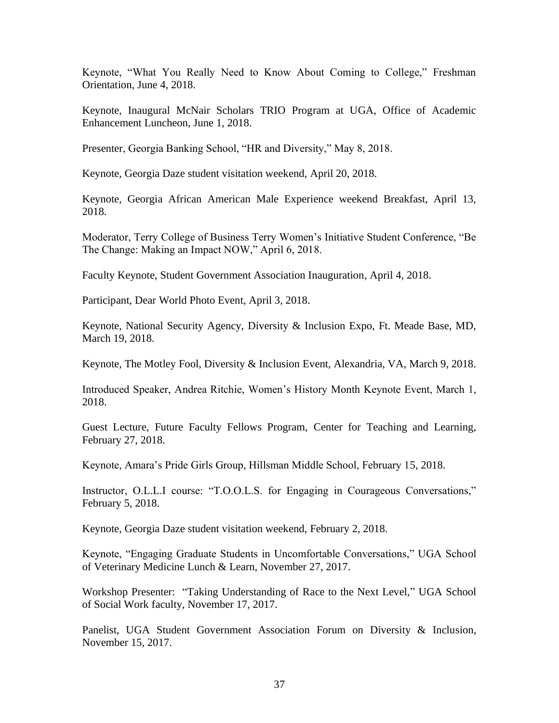Keynote, "What You Really Need to Know About Coming to College," Freshman Orientation, June 4, 2018.

Keynote, Inaugural McNair Scholars TRIO Program at UGA, Office of Academic Enhancement Luncheon, June 1, 2018.

Presenter, Georgia Banking School, "HR and Diversity," May 8, 2018.

Keynote, Georgia Daze student visitation weekend, April 20, 2018.

Keynote, Georgia African American Male Experience weekend Breakfast, April 13, 2018.

Moderator, Terry College of Business Terry Women's Initiative Student Conference, "Be The Change: Making an Impact NOW," April 6, 2018.

Faculty Keynote, Student Government Association Inauguration, April 4, 2018.

Participant, Dear World Photo Event, April 3, 2018.

Keynote, National Security Agency, Diversity & Inclusion Expo, Ft. Meade Base, MD, March 19, 2018.

Keynote, The Motley Fool, Diversity & Inclusion Event, Alexandria, VA, March 9, 2018.

Introduced Speaker, Andrea Ritchie, Women's History Month Keynote Event, March 1, 2018.

Guest Lecture, Future Faculty Fellows Program, Center for Teaching and Learning, February 27, 2018.

Keynote, Amara's Pride Girls Group, Hillsman Middle School, February 15, 2018.

Instructor, O.L.L.I course: "T.O.O.L.S. for Engaging in Courageous Conversations," February 5, 2018.

Keynote, Georgia Daze student visitation weekend, February 2, 2018.

Keynote, "Engaging Graduate Students in Uncomfortable Conversations," UGA School of Veterinary Medicine Lunch & Learn, November 27, 2017.

Workshop Presenter: "Taking Understanding of Race to the Next Level," UGA School of Social Work faculty, November 17, 2017.

Panelist, UGA Student Government Association Forum on Diversity & Inclusion, November 15, 2017.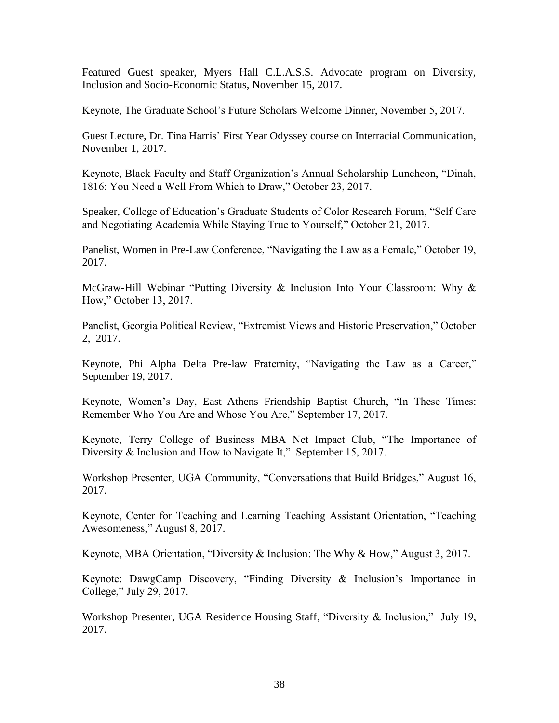Featured Guest speaker, Myers Hall C.L.A.S.S. Advocate program on Diversity, Inclusion and Socio-Economic Status, November 15, 2017.

Keynote, The Graduate School's Future Scholars Welcome Dinner, November 5, 2017.

Guest Lecture, Dr. Tina Harris' First Year Odyssey course on Interracial Communication, November 1, 2017.

Keynote, Black Faculty and Staff Organization's Annual Scholarship Luncheon, "Dinah, 1816: You Need a Well From Which to Draw," October 23, 2017.

Speaker, College of Education's Graduate Students of Color Research Forum, "Self Care and Negotiating Academia While Staying True to Yourself," October 21, 2017.

Panelist, Women in Pre-Law Conference, "Navigating the Law as a Female," October 19, 2017.

McGraw-Hill Webinar "Putting Diversity & Inclusion Into Your Classroom: Why  $\&$ How," October 13, 2017.

Panelist, Georgia Political Review, "Extremist Views and Historic Preservation," October 2, 2017.

Keynote, Phi Alpha Delta Pre-law Fraternity, "Navigating the Law as a Career," September 19, 2017.

Keynote, Women's Day, East Athens Friendship Baptist Church, "In These Times: Remember Who You Are and Whose You Are," September 17, 2017.

Keynote, Terry College of Business MBA Net Impact Club, "The Importance of Diversity & Inclusion and How to Navigate It," September 15, 2017.

Workshop Presenter, UGA Community, "Conversations that Build Bridges," August 16, 2017.

Keynote, Center for Teaching and Learning Teaching Assistant Orientation, "Teaching Awesomeness," August 8, 2017.

Keynote, MBA Orientation, "Diversity & Inclusion: The Why & How," August 3, 2017.

Keynote: DawgCamp Discovery, "Finding Diversity & Inclusion's Importance in College," July 29, 2017.

Workshop Presenter, UGA Residence Housing Staff, "Diversity & Inclusion," July 19, 2017.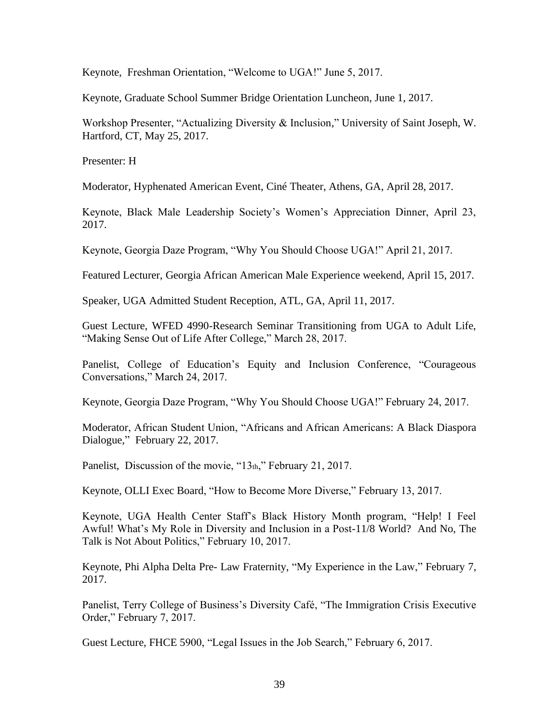Keynote, Freshman Orientation, "Welcome to UGA!" June 5, 2017.

Keynote, Graduate School Summer Bridge Orientation Luncheon, June 1, 2017.

Workshop Presenter, "Actualizing Diversity & Inclusion," University of Saint Joseph, W. Hartford, CT, May 25, 2017.

Presenter: H

Moderator, Hyphenated American Event, Ciné Theater, Athens, GA, April 28, 2017.

Keynote, Black Male Leadership Society's Women's Appreciation Dinner, April 23, 2017.

Keynote, Georgia Daze Program, "Why You Should Choose UGA!" April 21, 2017.

Featured Lecturer, Georgia African American Male Experience weekend, April 15, 2017.

Speaker, UGA Admitted Student Reception, ATL, GA, April 11, 2017.

Guest Lecture, WFED 4990-Research Seminar Transitioning from UGA to Adult Life, "Making Sense Out of Life After College," March 28, 2017.

Panelist, College of Education's Equity and Inclusion Conference, "Courageous Conversations," March 24, 2017.

Keynote, Georgia Daze Program, "Why You Should Choose UGA!" February 24, 2017.

Moderator, African Student Union, "Africans and African Americans: A Black Diaspora Dialogue," February 22, 2017.

Panelist, Discussion of the movie, "13th," February 21, 2017.

Keynote, OLLI Exec Board, "How to Become More Diverse," February 13, 2017.

Keynote, UGA Health Center Staff's Black History Month program, "Help! I Feel Awful! What's My Role in Diversity and Inclusion in a Post-11/8 World? And No, The Talk is Not About Politics," February 10, 2017.

Keynote, Phi Alpha Delta Pre- Law Fraternity, "My Experience in the Law," February 7, 2017.

Panelist, Terry College of Business's Diversity Café, "The Immigration Crisis Executive Order," February 7, 2017.

Guest Lecture, FHCE 5900, "Legal Issues in the Job Search," February 6, 2017.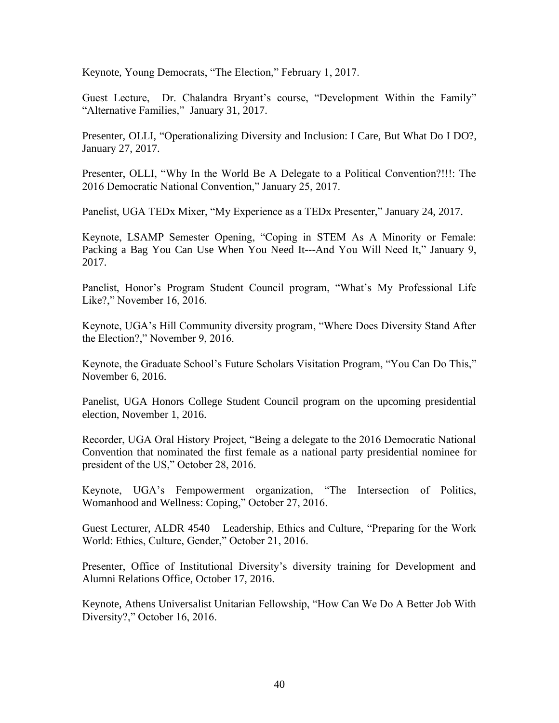Keynote, Young Democrats, "The Election," February 1, 2017.

Guest Lecture, Dr. Chalandra Bryant's course, "Development Within the Family" "Alternative Families," January 31, 2017.

Presenter, OLLI, "Operationalizing Diversity and Inclusion: I Care, But What Do I DO?, January 27, 2017.

Presenter, OLLI, "Why In the World Be A Delegate to a Political Convention?!!!: The 2016 Democratic National Convention," January 25, 2017.

Panelist, UGA TEDx Mixer, "My Experience as a TEDx Presenter," January 24, 2017.

Keynote, LSAMP Semester Opening, "Coping in STEM As A Minority or Female: Packing a Bag You Can Use When You Need It---And You Will Need It," January 9, 2017.

Panelist, Honor's Program Student Council program, "What's My Professional Life Like?," November 16, 2016.

Keynote, UGA's Hill Community diversity program, "Where Does Diversity Stand After the Election?," November 9, 2016.

Keynote, the Graduate School's Future Scholars Visitation Program, "You Can Do This," November 6, 2016.

Panelist, UGA Honors College Student Council program on the upcoming presidential election, November 1, 2016.

Recorder, UGA Oral History Project, "Being a delegate to the 2016 Democratic National Convention that nominated the first female as a national party presidential nominee for president of the US," October 28, 2016.

Keynote, UGA's Fempowerment organization, "The Intersection of Politics, Womanhood and Wellness: Coping," October 27, 2016.

Guest Lecturer, ALDR 4540 – Leadership, Ethics and Culture, "Preparing for the Work World: Ethics, Culture, Gender," October 21, 2016.

Presenter, Office of Institutional Diversity's diversity training for Development and Alumni Relations Office, October 17, 2016.

Keynote, Athens Universalist Unitarian Fellowship, "How Can We Do A Better Job With Diversity?," October 16, 2016.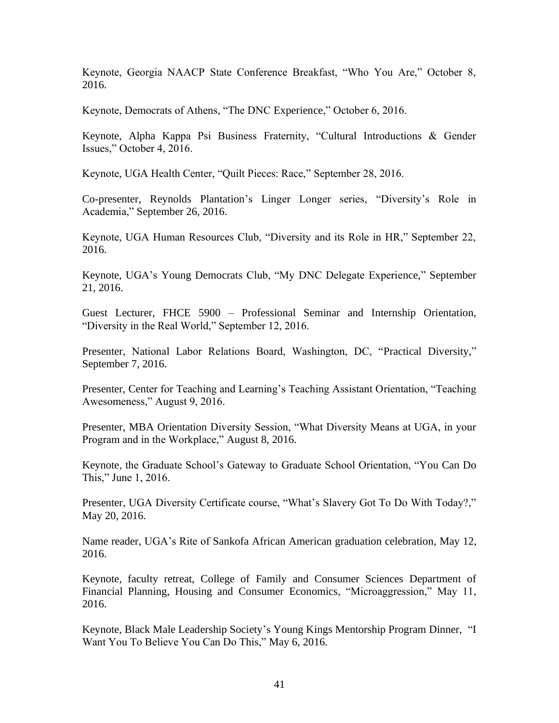Keynote, Georgia NAACP State Conference Breakfast, "Who You Are," October 8, 2016.

Keynote, Democrats of Athens, "The DNC Experience," October 6, 2016.

Keynote, Alpha Kappa Psi Business Fraternity, "Cultural Introductions & Gender Issues," October 4, 2016.

Keynote, UGA Health Center, "Quilt Pieces: Race," September 28, 2016.

Co-presenter, Reynolds Plantation's Linger Longer series, "Diversity's Role in Academia," September 26, 2016.

Keynote, UGA Human Resources Club, "Diversity and its Role in HR," September 22, 2016.

Keynote, UGA's Young Democrats Club, "My DNC Delegate Experience," September 21, 2016.

Guest Lecturer, FHCE 5900 – Professional Seminar and Internship Orientation, "Diversity in the Real World," September 12, 2016.

Presenter, National Labor Relations Board, Washington, DC, "Practical Diversity," September 7, 2016.

Presenter, Center for Teaching and Learning's Teaching Assistant Orientation, "Teaching Awesomeness," August 9, 2016.

Presenter, MBA Orientation Diversity Session, "What Diversity Means at UGA, in your Program and in the Workplace," August 8, 2016.

Keynote, the Graduate School's Gateway to Graduate School Orientation, "You Can Do This," June 1, 2016.

Presenter, UGA Diversity Certificate course, "What's Slavery Got To Do With Today?," May 20, 2016.

Name reader, UGA's Rite of Sankofa African American graduation celebration, May 12, 2016.

Keynote, faculty retreat, College of Family and Consumer Sciences Department of Financial Planning, Housing and Consumer Economics, "Microaggression," May 11, 2016.

Keynote, Black Male Leadership Society's Young Kings Mentorship Program Dinner, "I Want You To Believe You Can Do This," May 6, 2016.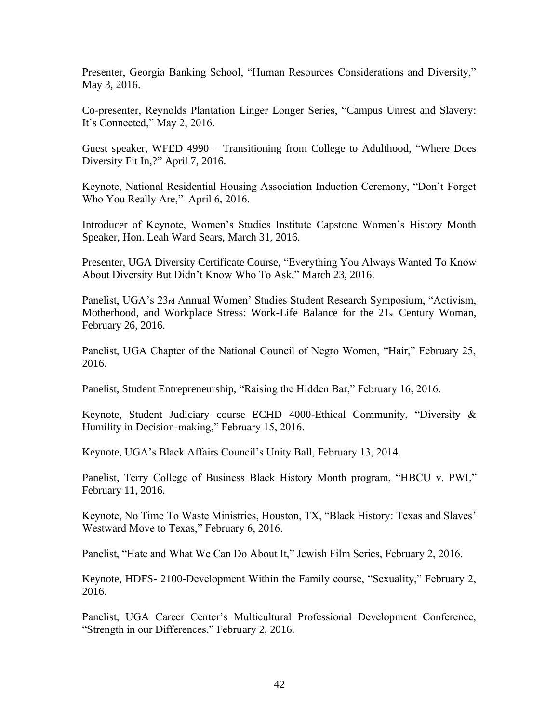Presenter, Georgia Banking School, "Human Resources Considerations and Diversity," May 3, 2016.

Co-presenter, Reynolds Plantation Linger Longer Series, "Campus Unrest and Slavery: It's Connected," May 2, 2016.

Guest speaker, WFED 4990 – Transitioning from College to Adulthood, "Where Does Diversity Fit In,?" April 7, 2016.

Keynote, National Residential Housing Association Induction Ceremony, "Don't Forget Who You Really Are," April 6, 2016.

Introducer of Keynote, Women's Studies Institute Capstone Women's History Month Speaker, Hon. Leah Ward Sears, March 31, 2016.

Presenter, UGA Diversity Certificate Course, "Everything You Always Wanted To Know About Diversity But Didn't Know Who To Ask," March 23, 2016.

Panelist, UGA's 23rd Annual Women' Studies Student Research Symposium, "Activism, Motherhood, and Workplace Stress: Work-Life Balance for the 21st Century Woman, February 26, 2016.

Panelist, UGA Chapter of the National Council of Negro Women, "Hair," February 25, 2016.

Panelist, Student Entrepreneurship, "Raising the Hidden Bar," February 16, 2016.

Keynote, Student Judiciary course ECHD 4000-Ethical Community, "Diversity & Humility in Decision-making," February 15, 2016.

Keynote, UGA's Black Affairs Council's Unity Ball, February 13, 2014.

Panelist, Terry College of Business Black History Month program, "HBCU v. PWI," February 11, 2016.

Keynote, No Time To Waste Ministries, Houston, TX, "Black History: Texas and Slaves' Westward Move to Texas," February 6, 2016.

Panelist, "Hate and What We Can Do About It," Jewish Film Series, February 2, 2016.

Keynote, HDFS- 2100-Development Within the Family course, "Sexuality," February 2, 2016.

Panelist, UGA Career Center's Multicultural Professional Development Conference, "Strength in our Differences," February 2, 2016.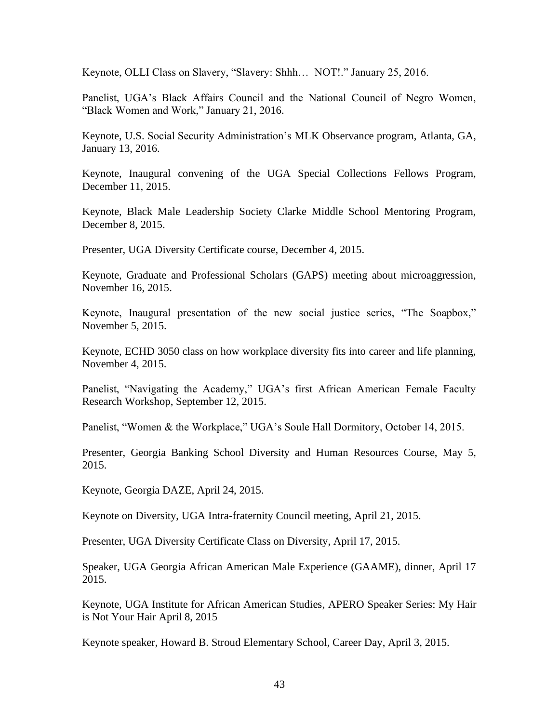Keynote, OLLI Class on Slavery, "Slavery: Shhh… NOT!." January 25, 2016.

Panelist, UGA's Black Affairs Council and the National Council of Negro Women, "Black Women and Work," January 21, 2016.

Keynote, U.S. Social Security Administration's MLK Observance program, Atlanta, GA, January 13, 2016.

Keynote, Inaugural convening of the UGA Special Collections Fellows Program, December 11, 2015.

Keynote, Black Male Leadership Society Clarke Middle School Mentoring Program, December 8, 2015.

Presenter, UGA Diversity Certificate course, December 4, 2015.

Keynote, Graduate and Professional Scholars (GAPS) meeting about microaggression, November 16, 2015.

Keynote, Inaugural presentation of the new social justice series, "The Soapbox," November 5, 2015.

Keynote, ECHD 3050 class on how workplace diversity fits into career and life planning, November 4, 2015.

Panelist, "Navigating the Academy," UGA's first African American Female Faculty Research Workshop, September 12, 2015.

Panelist, "Women & the Workplace," UGA's Soule Hall Dormitory, October 14, 2015.

Presenter, Georgia Banking School Diversity and Human Resources Course, May 5, 2015.

Keynote, Georgia DAZE, April 24, 2015.

Keynote on Diversity, UGA Intra-fraternity Council meeting, April 21, 2015.

Presenter, UGA Diversity Certificate Class on Diversity, April 17, 2015.

Speaker, UGA Georgia African American Male Experience (GAAME), dinner, April 17 2015.

Keynote, UGA Institute for African American Studies, APERO Speaker Series: My Hair is Not Your Hair April 8, 2015

Keynote speaker, Howard B. Stroud Elementary School, Career Day, April 3, 2015.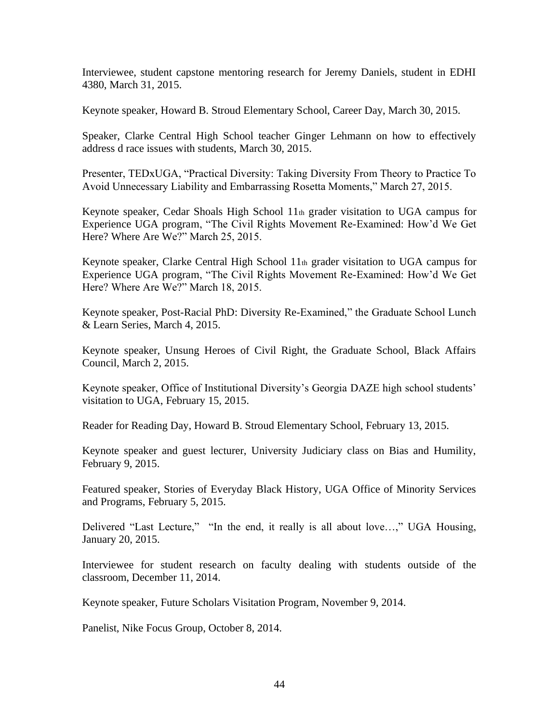Interviewee, student capstone mentoring research for Jeremy Daniels, student in EDHI 4380, March 31, 2015.

Keynote speaker, Howard B. Stroud Elementary School, Career Day, March 30, 2015.

Speaker, Clarke Central High School teacher Ginger Lehmann on how to effectively address d race issues with students, March 30, 2015.

Presenter, TEDxUGA, "Practical Diversity: Taking Diversity From Theory to Practice To Avoid Unnecessary Liability and Embarrassing Rosetta Moments," March 27, 2015.

Keynote speaker, Cedar Shoals High School 11th grader visitation to UGA campus for Experience UGA program, "The Civil Rights Movement Re-Examined: How'd We Get Here? Where Are We?" March 25, 2015.

Keynote speaker, Clarke Central High School 11th grader visitation to UGA campus for Experience UGA program, "The Civil Rights Movement Re-Examined: How'd We Get Here? Where Are We?" March 18, 2015.

Keynote speaker, Post-Racial PhD: Diversity Re-Examined," the Graduate School Lunch & Learn Series, March 4, 2015.

Keynote speaker, Unsung Heroes of Civil Right, the Graduate School, Black Affairs Council, March 2, 2015.

Keynote speaker, Office of Institutional Diversity's Georgia DAZE high school students' visitation to UGA, February 15, 2015.

Reader for Reading Day, Howard B. Stroud Elementary School, February 13, 2015.

Keynote speaker and guest lecturer, University Judiciary class on Bias and Humility, February 9, 2015.

Featured speaker, Stories of Everyday Black History, UGA Office of Minority Services and Programs, February 5, 2015.

Delivered "Last Lecture," "In the end, it really is all about love…," UGA Housing, January 20, 2015.

Interviewee for student research on faculty dealing with students outside of the classroom, December 11, 2014.

Keynote speaker, Future Scholars Visitation Program, November 9, 2014.

Panelist, Nike Focus Group, October 8, 2014.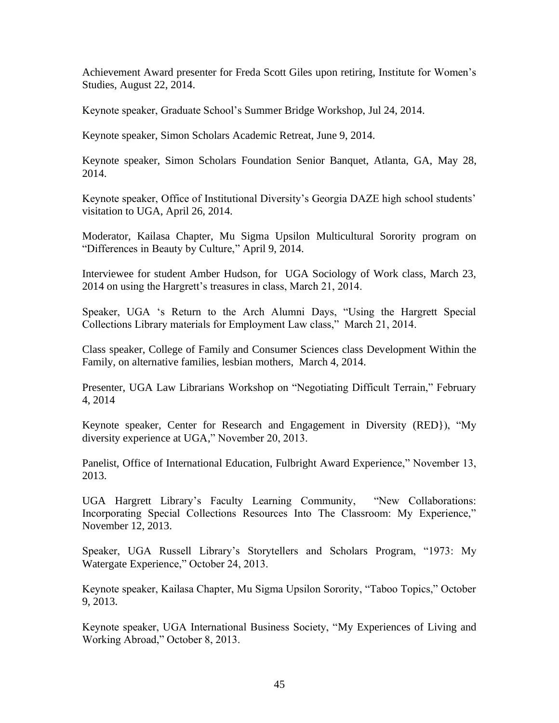Achievement Award presenter for Freda Scott Giles upon retiring, Institute for Women's Studies, August 22, 2014.

Keynote speaker, Graduate School's Summer Bridge Workshop, Jul 24, 2014.

Keynote speaker, Simon Scholars Academic Retreat, June 9, 2014.

Keynote speaker, Simon Scholars Foundation Senior Banquet, Atlanta, GA, May 28, 2014.

Keynote speaker, Office of Institutional Diversity's Georgia DAZE high school students' visitation to UGA, April 26, 2014.

Moderator, Kailasa Chapter, Mu Sigma Upsilon Multicultural Sorority program on "Differences in Beauty by Culture," April 9, 2014.

Interviewee for student Amber Hudson, for UGA Sociology of Work class, March 23, 2014 on using the Hargrett's treasures in class, March 21, 2014.

Speaker, UGA 's Return to the Arch Alumni Days, "Using the Hargrett Special Collections Library materials for Employment Law class," March 21, 2014.

Class speaker, College of Family and Consumer Sciences class Development Within the Family, on alternative families, lesbian mothers, March 4, 2014.

Presenter, UGA Law Librarians Workshop on "Negotiating Difficult Terrain," February 4, 2014

Keynote speaker, Center for Research and Engagement in Diversity (RED}), "My diversity experience at UGA," November 20, 2013.

Panelist, Office of International Education, Fulbright Award Experience," November 13, 2013.

UGA Hargrett Library's Faculty Learning Community, "New Collaborations: Incorporating Special Collections Resources Into The Classroom: My Experience," November 12, 2013.

Speaker, UGA Russell Library's Storytellers and Scholars Program, "1973: My Watergate Experience," October 24, 2013.

Keynote speaker, Kailasa Chapter, Mu Sigma Upsilon Sorority, "Taboo Topics," October 9, 2013.

Keynote speaker, UGA International Business Society, "My Experiences of Living and Working Abroad," October 8, 2013.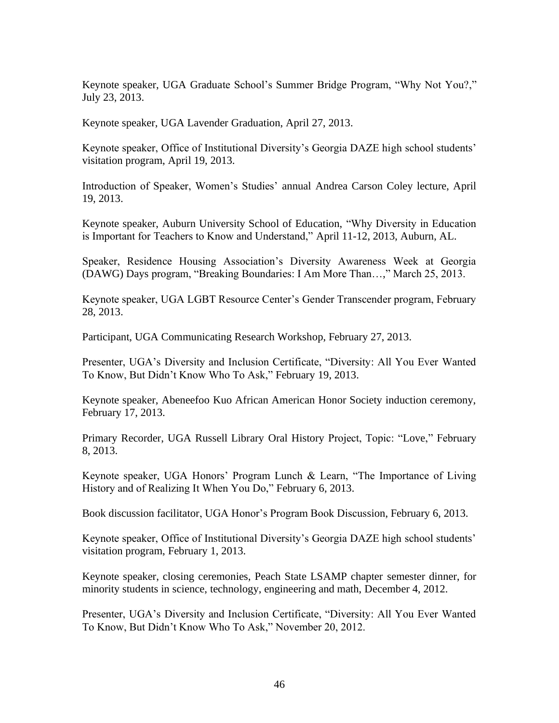Keynote speaker, UGA Graduate School's Summer Bridge Program, "Why Not You?," July 23, 2013.

Keynote speaker, UGA Lavender Graduation, April 27, 2013.

Keynote speaker, Office of Institutional Diversity's Georgia DAZE high school students' visitation program, April 19, 2013.

Introduction of Speaker, Women's Studies' annual Andrea Carson Coley lecture, April 19, 2013.

Keynote speaker, Auburn University School of Education, "Why Diversity in Education is Important for Teachers to Know and Understand," April 11-12, 2013, Auburn, AL.

Speaker, Residence Housing Association's Diversity Awareness Week at Georgia (DAWG) Days program, "Breaking Boundaries: I Am More Than…," March 25, 2013.

Keynote speaker, UGA LGBT Resource Center's Gender Transcender program, February 28, 2013.

Participant, UGA Communicating Research Workshop, February 27, 2013.

Presenter, UGA's Diversity and Inclusion Certificate, "Diversity: All You Ever Wanted To Know, But Didn't Know Who To Ask," February 19, 2013.

Keynote speaker, Abeneefoo Kuo African American Honor Society induction ceremony, February 17, 2013.

Primary Recorder, UGA Russell Library Oral History Project, Topic: "Love," February 8, 2013.

Keynote speaker, UGA Honors' Program Lunch & Learn, "The Importance of Living History and of Realizing It When You Do," February 6, 2013.

Book discussion facilitator, UGA Honor's Program Book Discussion, February 6, 2013.

Keynote speaker, Office of Institutional Diversity's Georgia DAZE high school students' visitation program, February 1, 2013.

Keynote speaker, closing ceremonies, Peach State LSAMP chapter semester dinner, for minority students in science, technology, engineering and math, December 4, 2012.

Presenter, UGA's Diversity and Inclusion Certificate, "Diversity: All You Ever Wanted To Know, But Didn't Know Who To Ask," November 20, 2012.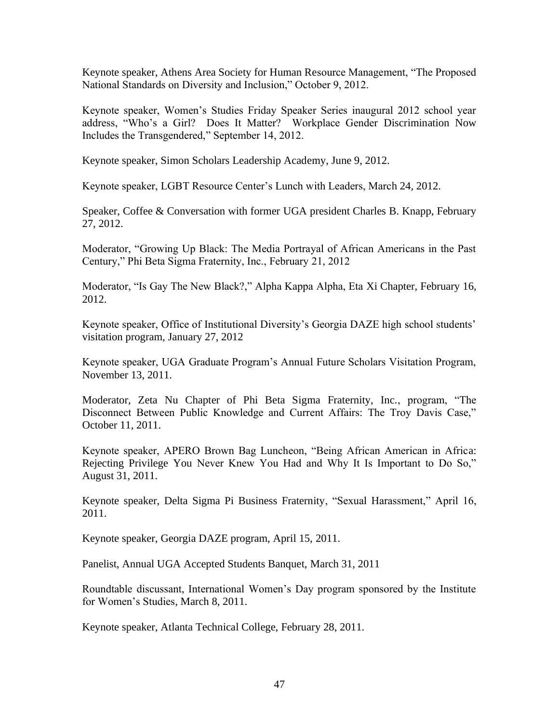Keynote speaker, Athens Area Society for Human Resource Management, "The Proposed National Standards on Diversity and Inclusion," October 9, 2012.

Keynote speaker, Women's Studies Friday Speaker Series inaugural 2012 school year address, "Who's a Girl? Does It Matter? Workplace Gender Discrimination Now Includes the Transgendered," September 14, 2012.

Keynote speaker, Simon Scholars Leadership Academy, June 9, 2012.

Keynote speaker, LGBT Resource Center's Lunch with Leaders, March 24, 2012.

Speaker, Coffee & Conversation with former UGA president Charles B. Knapp, February 27, 2012.

Moderator, "Growing Up Black: The Media Portrayal of African Americans in the Past Century," Phi Beta Sigma Fraternity, Inc., February 21, 2012

Moderator, "Is Gay The New Black?," Alpha Kappa Alpha, Eta Xi Chapter, February 16, 2012.

Keynote speaker, Office of Institutional Diversity's Georgia DAZE high school students' visitation program, January 27, 2012

Keynote speaker, UGA Graduate Program's Annual Future Scholars Visitation Program, November 13, 2011.

Moderator, Zeta Nu Chapter of Phi Beta Sigma Fraternity, Inc., program, "The Disconnect Between Public Knowledge and Current Affairs: The Troy Davis Case," October 11, 2011.

Keynote speaker, APERO Brown Bag Luncheon, "Being African American in Africa: Rejecting Privilege You Never Knew You Had and Why It Is Important to Do So," August 31, 2011.

Keynote speaker, Delta Sigma Pi Business Fraternity, "Sexual Harassment," April 16, 2011.

Keynote speaker, Georgia DAZE program, April 15, 2011.

Panelist, Annual UGA Accepted Students Banquet, March 31, 2011

Roundtable discussant, International Women's Day program sponsored by the Institute for Women's Studies, March 8, 2011.

Keynote speaker, Atlanta Technical College, February 28, 2011.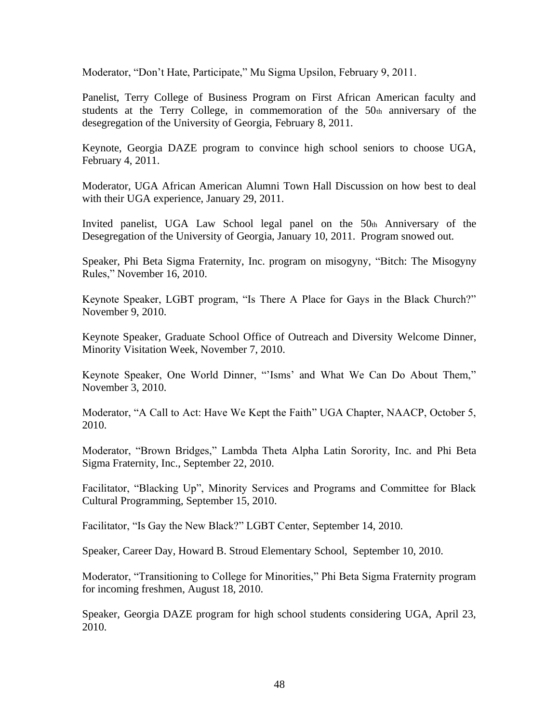Moderator, "Don't Hate, Participate," Mu Sigma Upsilon, February 9, 2011.

Panelist, Terry College of Business Program on First African American faculty and students at the Terry College, in commemoration of the 50th anniversary of the desegregation of the University of Georgia, February 8, 2011.

Keynote, Georgia DAZE program to convince high school seniors to choose UGA, February 4, 2011.

Moderator, UGA African American Alumni Town Hall Discussion on how best to deal with their UGA experience, January 29, 2011.

Invited panelist, UGA Law School legal panel on the  $50<sub>th</sub>$  Anniversary of the Desegregation of the University of Georgia, January 10, 2011. Program snowed out.

Speaker, Phi Beta Sigma Fraternity, Inc. program on misogyny, "Bitch: The Misogyny Rules," November 16, 2010.

Keynote Speaker, LGBT program, "Is There A Place for Gays in the Black Church?" November 9, 2010.

Keynote Speaker, Graduate School Office of Outreach and Diversity Welcome Dinner, Minority Visitation Week, November 7, 2010.

Keynote Speaker, One World Dinner, "'Isms' and What We Can Do About Them," November 3, 2010.

Moderator, "A Call to Act: Have We Kept the Faith" UGA Chapter, NAACP, October 5, 2010.

Moderator, "Brown Bridges," Lambda Theta Alpha Latin Sorority, Inc. and Phi Beta Sigma Fraternity, Inc., September 22, 2010.

Facilitator, "Blacking Up", Minority Services and Programs and Committee for Black Cultural Programming, September 15, 2010.

Facilitator, "Is Gay the New Black?" LGBT Center, September 14, 2010.

Speaker, Career Day, Howard B. Stroud Elementary School, September 10, 2010.

Moderator, "Transitioning to College for Minorities," Phi Beta Sigma Fraternity program for incoming freshmen, August 18, 2010.

Speaker, Georgia DAZE program for high school students considering UGA, April 23, 2010.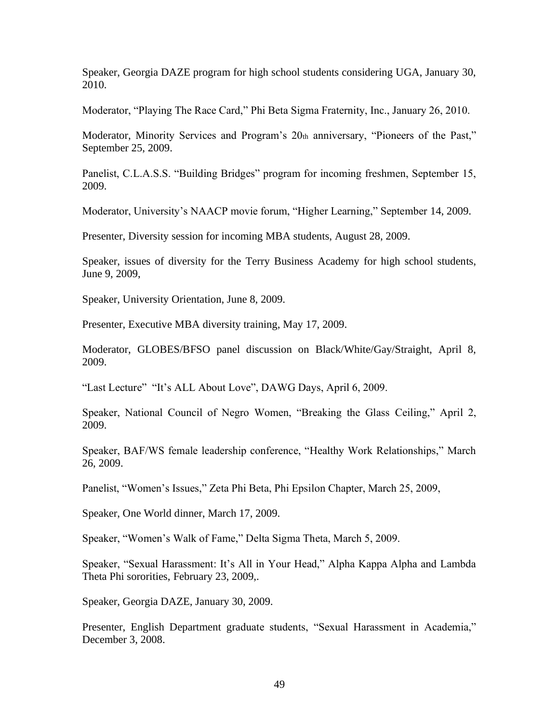Speaker, Georgia DAZE program for high school students considering UGA, January 30, 2010.

Moderator, "Playing The Race Card," Phi Beta Sigma Fraternity, Inc., January 26, 2010.

Moderator, Minority Services and Program's 20th anniversary, "Pioneers of the Past," September 25, 2009.

Panelist, C.L.A.S.S. "Building Bridges" program for incoming freshmen, September 15, 2009.

Moderator, University's NAACP movie forum, "Higher Learning," September 14, 2009.

Presenter, Diversity session for incoming MBA students, August 28, 2009.

Speaker, issues of diversity for the Terry Business Academy for high school students, June 9, 2009,

Speaker, University Orientation, June 8, 2009.

Presenter, Executive MBA diversity training, May 17, 2009.

Moderator, GLOBES/BFSO panel discussion on Black/White/Gay/Straight, April 8, 2009.

"Last Lecture" "It's ALL About Love", DAWG Days, April 6, 2009.

Speaker, National Council of Negro Women, "Breaking the Glass Ceiling," April 2, 2009.

Speaker, BAF/WS female leadership conference, "Healthy Work Relationships," March 26, 2009.

Panelist, "Women's Issues," Zeta Phi Beta, Phi Epsilon Chapter, March 25, 2009,

Speaker, One World dinner, March 17, 2009.

Speaker, "Women's Walk of Fame," Delta Sigma Theta, March 5, 2009.

Speaker, "Sexual Harassment: It's All in Your Head," Alpha Kappa Alpha and Lambda Theta Phi sororities, February 23, 2009,.

Speaker, Georgia DAZE, January 30, 2009.

Presenter, English Department graduate students, "Sexual Harassment in Academia," December 3, 2008.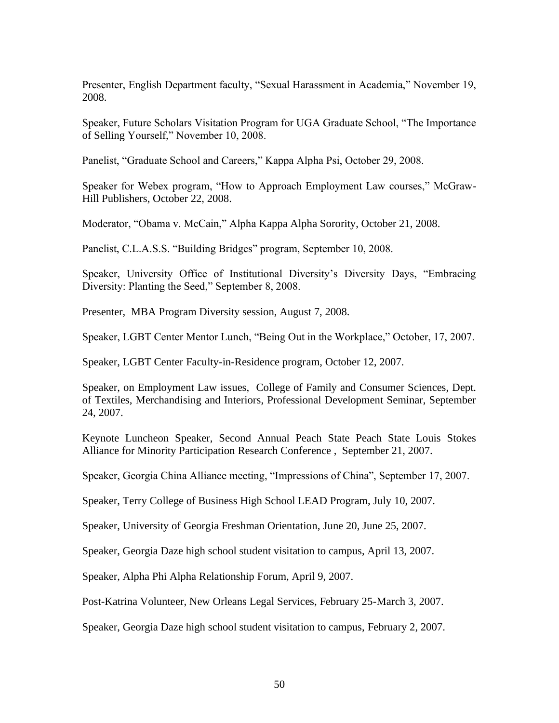Presenter, English Department faculty, "Sexual Harassment in Academia," November 19, 2008.

Speaker, Future Scholars Visitation Program for UGA Graduate School, "The Importance of Selling Yourself," November 10, 2008.

Panelist, "Graduate School and Careers," Kappa Alpha Psi, October 29, 2008.

Speaker for Webex program, "How to Approach Employment Law courses," McGraw-Hill Publishers, October 22, 2008.

Moderator, "Obama v. McCain," Alpha Kappa Alpha Sorority, October 21, 2008.

Panelist, C.L.A.S.S. "Building Bridges" program, September 10, 2008.

Speaker, University Office of Institutional Diversity's Diversity Days, "Embracing Diversity: Planting the Seed," September 8, 2008.

Presenter, MBA Program Diversity session, August 7, 2008.

Speaker, LGBT Center Mentor Lunch, "Being Out in the Workplace," October, 17, 2007.

Speaker, LGBT Center Faculty-in-Residence program, October 12, 2007.

Speaker, on Employment Law issues, College of Family and Consumer Sciences, Dept. of Textiles, Merchandising and Interiors, Professional Development Seminar, September 24, 2007.

Keynote Luncheon Speaker, Second Annual Peach State Peach State Louis Stokes Alliance for Minority Participation Research Conference , September 21, 2007.

Speaker, Georgia China Alliance meeting, "Impressions of China", September 17, 2007.

Speaker, Terry College of Business High School LEAD Program, July 10, 2007.

Speaker, University of Georgia Freshman Orientation, June 20, June 25, 2007.

Speaker, Georgia Daze high school student visitation to campus, April 13, 2007.

Speaker, Alpha Phi Alpha Relationship Forum, April 9, 2007.

Post-Katrina Volunteer, New Orleans Legal Services, February 25-March 3, 2007.

Speaker, Georgia Daze high school student visitation to campus, February 2, 2007.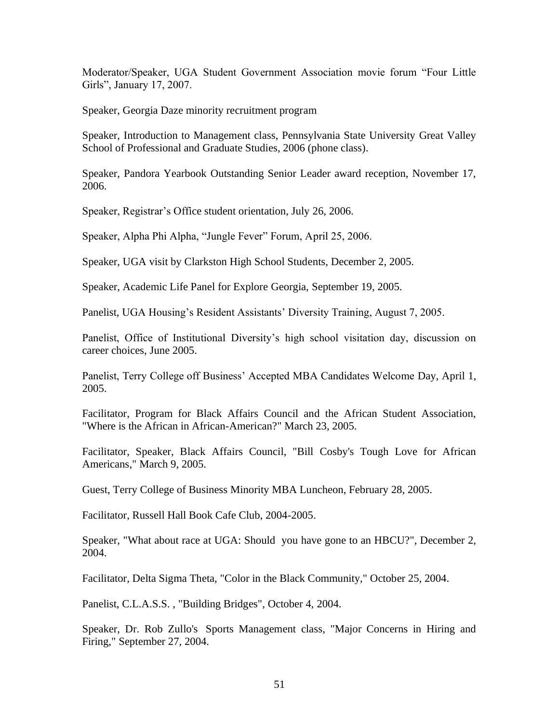Moderator/Speaker, UGA Student Government Association movie forum "Four Little Girls", January 17, 2007.

Speaker, Georgia Daze minority recruitment program

Speaker, Introduction to Management class, Pennsylvania State University Great Valley School of Professional and Graduate Studies, 2006 (phone class).

Speaker, Pandora Yearbook Outstanding Senior Leader award reception, November 17, 2006.

Speaker, Registrar's Office student orientation, July 26, 2006.

Speaker, Alpha Phi Alpha, "Jungle Fever" Forum, April 25, 2006.

Speaker, UGA visit by Clarkston High School Students, December 2, 2005.

Speaker, Academic Life Panel for Explore Georgia, September 19, 2005.

Panelist, UGA Housing's Resident Assistants' Diversity Training, August 7, 2005.

Panelist, Office of Institutional Diversity's high school visitation day, discussion on career choices, June 2005.

Panelist, Terry College off Business' Accepted MBA Candidates Welcome Day, April 1, 2005.

Facilitator, Program for Black Affairs Council and the African Student Association, "Where is the African in African-American?" March 23, 2005.

Facilitator, Speaker, Black Affairs Council, "Bill Cosby's Tough Love for African Americans," March 9, 2005.

Guest, Terry College of Business Minority MBA Luncheon, February 28, 2005.

Facilitator, Russell Hall Book Cafe Club, 2004-2005.

Speaker, "What about race at UGA: Should you have gone to an HBCU?", December 2, 2004.

Facilitator, Delta Sigma Theta, "Color in the Black Community," October 25, 2004.

Panelist, C.L.A.S.S. , "Building Bridges", October 4, 2004.

Speaker, Dr. Rob Zullo's Sports Management class, "Major Concerns in Hiring and Firing," September 27, 2004.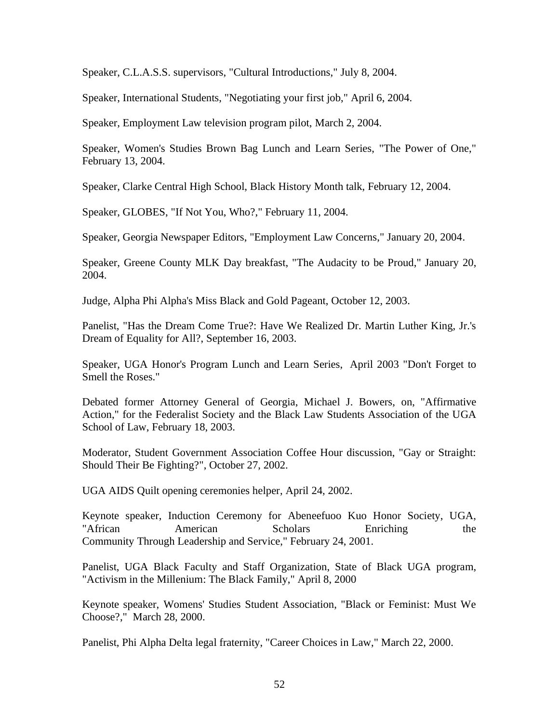Speaker, C.L.A.S.S. supervisors, "Cultural Introductions," July 8, 2004.

Speaker, International Students, "Negotiating your first job," April 6, 2004.

Speaker, Employment Law television program pilot, March 2, 2004.

Speaker, Women's Studies Brown Bag Lunch and Learn Series, "The Power of One," February 13, 2004.

Speaker, Clarke Central High School, Black History Month talk, February 12, 2004.

Speaker, GLOBES, "If Not You, Who?," February 11, 2004.

Speaker, Georgia Newspaper Editors, "Employment Law Concerns," January 20, 2004.

Speaker, Greene County MLK Day breakfast, "The Audacity to be Proud," January 20, 2004.

Judge, Alpha Phi Alpha's Miss Black and Gold Pageant, October 12, 2003.

Panelist, "Has the Dream Come True?: Have We Realized Dr. Martin Luther King, Jr.'s Dream of Equality for All?, September 16, 2003.

Speaker, UGA Honor's Program Lunch and Learn Series, April 2003 "Don't Forget to Smell the Roses."

Debated former Attorney General of Georgia, Michael J. Bowers, on, "Affirmative Action," for the Federalist Society and the Black Law Students Association of the UGA School of Law, February 18, 2003.

Moderator, Student Government Association Coffee Hour discussion, "Gay or Straight: Should Their Be Fighting?", October 27, 2002.

UGA AIDS Quilt opening ceremonies helper, April 24, 2002.

Keynote speaker, Induction Ceremony for Abeneefuoo Kuo Honor Society, UGA, "African American Scholars Enriching the Community Through Leadership and Service," February 24, 2001.

Panelist, UGA Black Faculty and Staff Organization, State of Black UGA program, "Activism in the Millenium: The Black Family," April 8, 2000

Keynote speaker, Womens' Studies Student Association, "Black or Feminist: Must We Choose?," March 28, 2000.

Panelist, Phi Alpha Delta legal fraternity, "Career Choices in Law," March 22, 2000.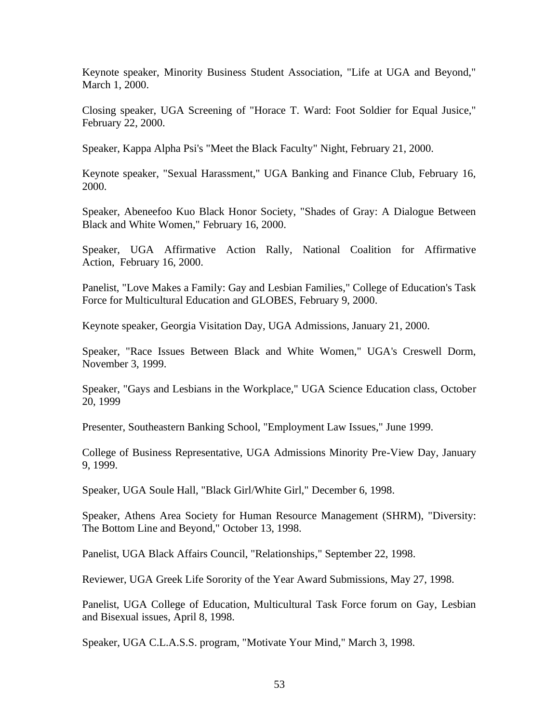Keynote speaker, Minority Business Student Association, "Life at UGA and Beyond," March 1, 2000.

Closing speaker, UGA Screening of "Horace T. Ward: Foot Soldier for Equal Jusice," February 22, 2000.

Speaker, Kappa Alpha Psi's "Meet the Black Faculty" Night, February 21, 2000.

Keynote speaker, "Sexual Harassment," UGA Banking and Finance Club, February 16, 2000.

Speaker, Abeneefoo Kuo Black Honor Society, "Shades of Gray: A Dialogue Between Black and White Women," February 16, 2000.

Speaker, UGA Affirmative Action Rally, National Coalition for Affirmative Action, February 16, 2000.

Panelist, "Love Makes a Family: Gay and Lesbian Families," College of Education's Task Force for Multicultural Education and GLOBES, February 9, 2000.

Keynote speaker, Georgia Visitation Day, UGA Admissions, January 21, 2000.

Speaker, "Race Issues Between Black and White Women," UGA's Creswell Dorm, November 3, 1999.

Speaker, "Gays and Lesbians in the Workplace," UGA Science Education class, October 20, 1999

Presenter, Southeastern Banking School, "Employment Law Issues," June 1999.

College of Business Representative, UGA Admissions Minority Pre-View Day, January 9, 1999.

Speaker, UGA Soule Hall, "Black Girl/White Girl," December 6, 1998.

Speaker, Athens Area Society for Human Resource Management (SHRM), "Diversity: The Bottom Line and Beyond," October 13, 1998.

Panelist, UGA Black Affairs Council, "Relationships," September 22, 1998.

Reviewer, UGA Greek Life Sorority of the Year Award Submissions, May 27, 1998.

Panelist, UGA College of Education, Multicultural Task Force forum on Gay, Lesbian and Bisexual issues, April 8, 1998.

Speaker, UGA C.L.A.S.S. program, "Motivate Your Mind," March 3, 1998.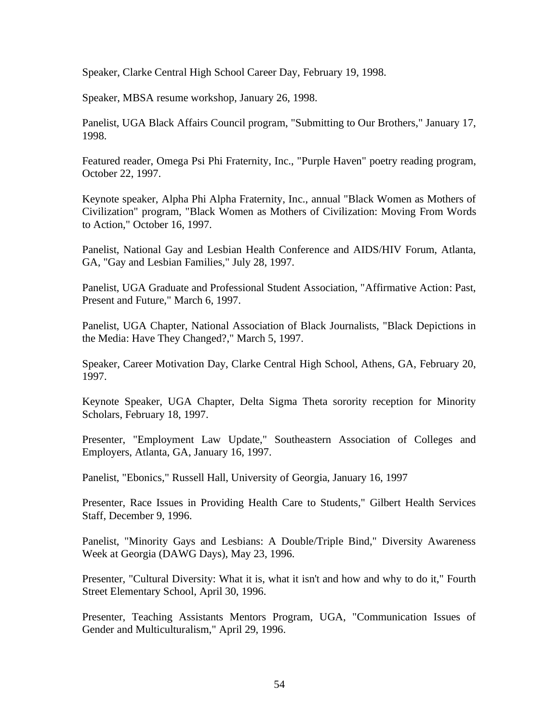Speaker, Clarke Central High School Career Day, February 19, 1998.

Speaker, MBSA resume workshop, January 26, 1998.

Panelist, UGA Black Affairs Council program, "Submitting to Our Brothers," January 17, 1998.

Featured reader, Omega Psi Phi Fraternity, Inc., "Purple Haven" poetry reading program, October 22, 1997.

Keynote speaker, Alpha Phi Alpha Fraternity, Inc., annual "Black Women as Mothers of Civilization" program, "Black Women as Mothers of Civilization: Moving From Words to Action," October 16, 1997.

Panelist, National Gay and Lesbian Health Conference and AIDS/HIV Forum, Atlanta, GA, "Gay and Lesbian Families," July 28, 1997.

Panelist, UGA Graduate and Professional Student Association, "Affirmative Action: Past, Present and Future," March 6, 1997.

Panelist, UGA Chapter, National Association of Black Journalists, "Black Depictions in the Media: Have They Changed?," March 5, 1997.

Speaker, Career Motivation Day, Clarke Central High School, Athens, GA, February 20, 1997.

Keynote Speaker, UGA Chapter, Delta Sigma Theta sorority reception for Minority Scholars, February 18, 1997.

Presenter, "Employment Law Update," Southeastern Association of Colleges and Employers, Atlanta, GA, January 16, 1997.

Panelist, "Ebonics," Russell Hall, University of Georgia, January 16, 1997

Presenter, Race Issues in Providing Health Care to Students," Gilbert Health Services Staff, December 9, 1996.

Panelist, "Minority Gays and Lesbians: A Double/Triple Bind," Diversity Awareness Week at Georgia (DAWG Days), May 23, 1996.

Presenter, "Cultural Diversity: What it is, what it isn't and how and why to do it," Fourth Street Elementary School, April 30, 1996.

Presenter, Teaching Assistants Mentors Program, UGA, "Communication Issues of Gender and Multiculturalism," April 29, 1996.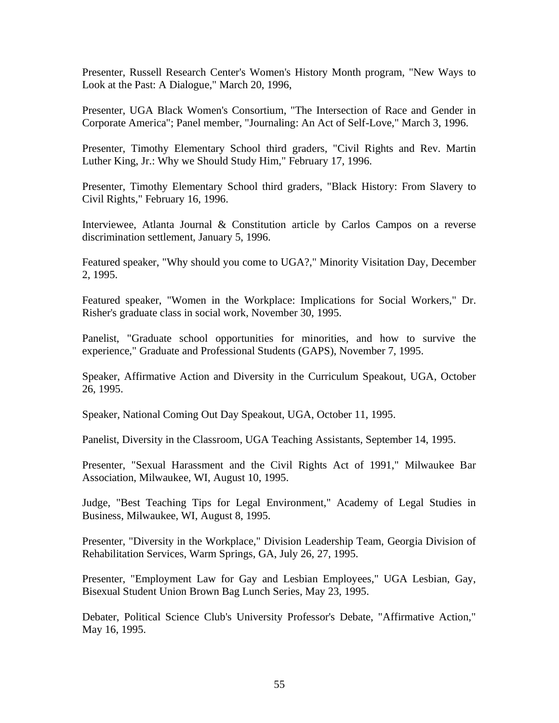Presenter, Russell Research Center's Women's History Month program, "New Ways to Look at the Past: A Dialogue," March 20, 1996,

Presenter, UGA Black Women's Consortium, "The Intersection of Race and Gender in Corporate America"; Panel member, "Journaling: An Act of Self-Love," March 3, 1996.

Presenter, Timothy Elementary School third graders, "Civil Rights and Rev. Martin Luther King, Jr.: Why we Should Study Him," February 17, 1996.

Presenter, Timothy Elementary School third graders, "Black History: From Slavery to Civil Rights," February 16, 1996.

Interviewee, Atlanta Journal & Constitution article by Carlos Campos on a reverse discrimination settlement, January 5, 1996.

Featured speaker, "Why should you come to UGA?," Minority Visitation Day, December 2, 1995.

Featured speaker, "Women in the Workplace: Implications for Social Workers," Dr. Risher's graduate class in social work, November 30, 1995.

Panelist, "Graduate school opportunities for minorities, and how to survive the experience," Graduate and Professional Students (GAPS), November 7, 1995.

Speaker, Affirmative Action and Diversity in the Curriculum Speakout, UGA, October 26, 1995.

Speaker, National Coming Out Day Speakout, UGA, October 11, 1995.

Panelist, Diversity in the Classroom, UGA Teaching Assistants, September 14, 1995.

Presenter, "Sexual Harassment and the Civil Rights Act of 1991," Milwaukee Bar Association, Milwaukee, WI, August 10, 1995.

Judge, "Best Teaching Tips for Legal Environment," Academy of Legal Studies in Business, Milwaukee, WI, August 8, 1995.

Presenter, "Diversity in the Workplace," Division Leadership Team, Georgia Division of Rehabilitation Services, Warm Springs, GA, July 26, 27, 1995.

Presenter, "Employment Law for Gay and Lesbian Employees," UGA Lesbian, Gay, Bisexual Student Union Brown Bag Lunch Series, May 23, 1995.

Debater, Political Science Club's University Professor's Debate, "Affirmative Action," May 16, 1995.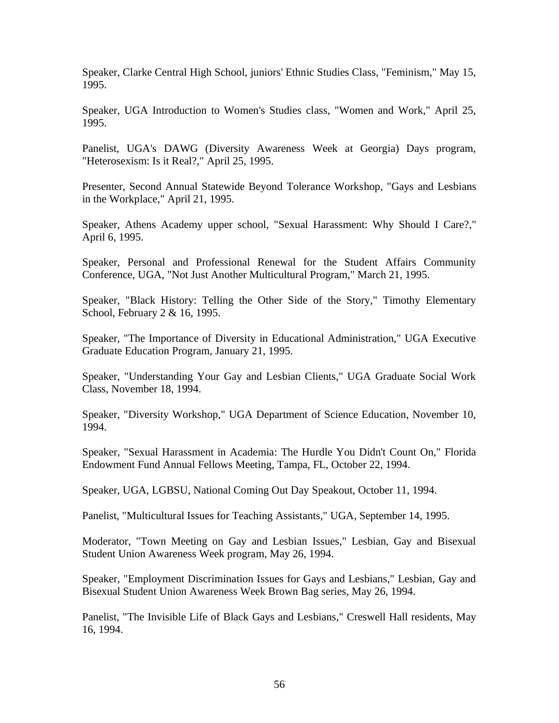Speaker, Clarke Central High School, juniors' Ethnic Studies Class, "Feminism," May 15, 1995.

Speaker, UGA Introduction to Women's Studies class, "Women and Work," April 25, 1995.

Panelist, UGA's DAWG (Diversity Awareness Week at Georgia) Days program, "Heterosexism: Is it Real?," April 25, 1995.

Presenter, Second Annual Statewide Beyond Tolerance Workshop, "Gays and Lesbians in the Workplace," April 21, 1995.

Speaker, Athens Academy upper school, "Sexual Harassment: Why Should I Care?," April 6, 1995.

Speaker, Personal and Professional Renewal for the Student Affairs Community Conference, UGA, "Not Just Another Multicultural Program," March 21, 1995.

Speaker, "Black History: Telling the Other Side of the Story," Timothy Elementary School, February 2 & 16, 1995.

Speaker, "The Importance of Diversity in Educational Administration," UGA Executive Graduate Education Program, January 21, 1995.

Speaker, "Understanding Your Gay and Lesbian Clients," UGA Graduate Social Work Class, November 18, 1994.

Speaker, "Diversity Workshop," UGA Department of Science Education, November 10, 1994.

Speaker, "Sexual Harassment in Academia: The Hurdle You Didn't Count On," Florida Endowment Fund Annual Fellows Meeting, Tampa, FL, October 22, 1994.

Speaker, UGA, LGBSU, National Coming Out Day Speakout, October 11, 1994.

Panelist, "Multicultural Issues for Teaching Assistants," UGA, September 14, 1995.

Moderator, "Town Meeting on Gay and Lesbian Issues," Lesbian, Gay and Bisexual Student Union Awareness Week program, May 26, 1994.

Speaker, "Employment Discrimination Issues for Gays and Lesbians," Lesbian, Gay and Bisexual Student Union Awareness Week Brown Bag series, May 26, 1994.

Panelist, "The Invisible Life of Black Gays and Lesbians," Creswell Hall residents, May 16, 1994.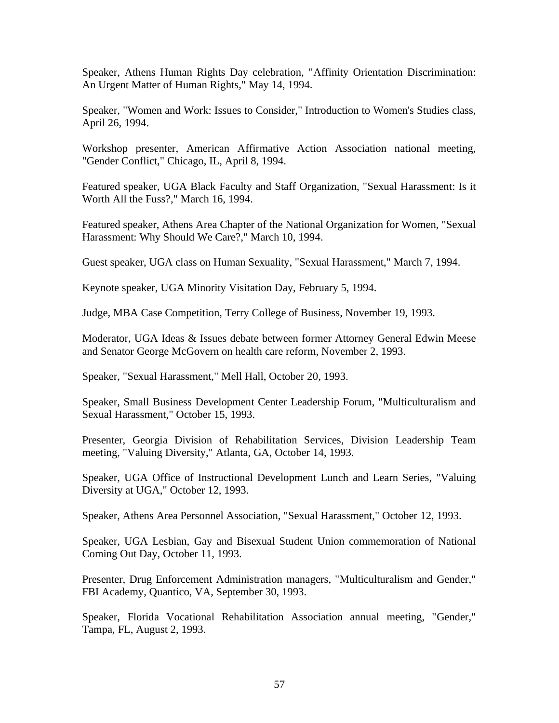Speaker, Athens Human Rights Day celebration, "Affinity Orientation Discrimination: An Urgent Matter of Human Rights," May 14, 1994.

Speaker, "Women and Work: Issues to Consider," Introduction to Women's Studies class, April 26, 1994.

Workshop presenter, American Affirmative Action Association national meeting, "Gender Conflict," Chicago, IL, April 8, 1994.

Featured speaker, UGA Black Faculty and Staff Organization, "Sexual Harassment: Is it Worth All the Fuss?," March 16, 1994.

Featured speaker, Athens Area Chapter of the National Organization for Women, "Sexual Harassment: Why Should We Care?," March 10, 1994.

Guest speaker, UGA class on Human Sexuality, "Sexual Harassment," March 7, 1994.

Keynote speaker, UGA Minority Visitation Day, February 5, 1994.

Judge, MBA Case Competition, Terry College of Business, November 19, 1993.

Moderator, UGA Ideas & Issues debate between former Attorney General Edwin Meese and Senator George McGovern on health care reform, November 2, 1993.

Speaker, "Sexual Harassment," Mell Hall, October 20, 1993.

Speaker, Small Business Development Center Leadership Forum, "Multiculturalism and Sexual Harassment," October 15, 1993.

Presenter, Georgia Division of Rehabilitation Services, Division Leadership Team meeting, "Valuing Diversity," Atlanta, GA, October 14, 1993.

Speaker, UGA Office of Instructional Development Lunch and Learn Series, "Valuing Diversity at UGA," October 12, 1993.

Speaker, Athens Area Personnel Association, "Sexual Harassment," October 12, 1993.

Speaker, UGA Lesbian, Gay and Bisexual Student Union commemoration of National Coming Out Day, October 11, 1993.

Presenter, Drug Enforcement Administration managers, "Multiculturalism and Gender," FBI Academy, Quantico, VA, September 30, 1993.

Speaker, Florida Vocational Rehabilitation Association annual meeting, "Gender," Tampa, FL, August 2, 1993.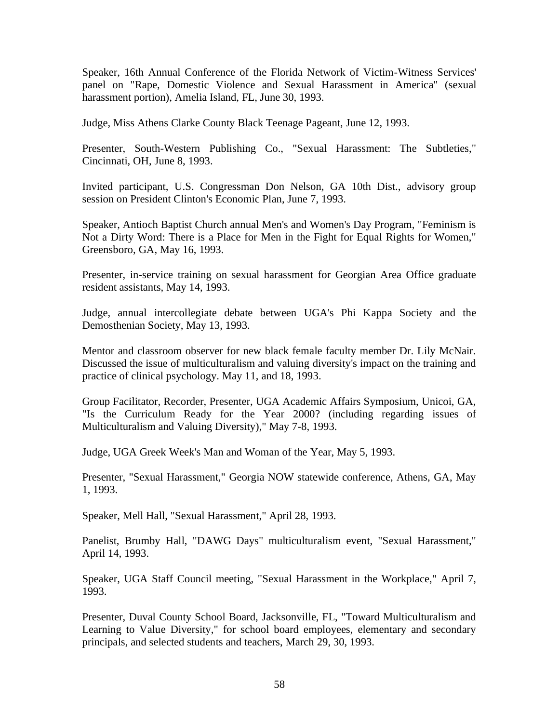Speaker, 16th Annual Conference of the Florida Network of Victim-Witness Services' panel on "Rape, Domestic Violence and Sexual Harassment in America" (sexual harassment portion), Amelia Island, FL, June 30, 1993.

Judge, Miss Athens Clarke County Black Teenage Pageant, June 12, 1993.

Presenter, South-Western Publishing Co., "Sexual Harassment: The Subtleties," Cincinnati, OH, June 8, 1993.

Invited participant, U.S. Congressman Don Nelson, GA 10th Dist., advisory group session on President Clinton's Economic Plan, June 7, 1993.

Speaker, Antioch Baptist Church annual Men's and Women's Day Program, "Feminism is Not a Dirty Word: There is a Place for Men in the Fight for Equal Rights for Women," Greensboro, GA, May 16, 1993.

Presenter, in-service training on sexual harassment for Georgian Area Office graduate resident assistants, May 14, 1993.

Judge, annual intercollegiate debate between UGA's Phi Kappa Society and the Demosthenian Society, May 13, 1993.

Mentor and classroom observer for new black female faculty member Dr. Lily McNair. Discussed the issue of multiculturalism and valuing diversity's impact on the training and practice of clinical psychology. May 11, and 18, 1993.

Group Facilitator, Recorder, Presenter, UGA Academic Affairs Symposium, Unicoi, GA, "Is the Curriculum Ready for the Year 2000? (including regarding issues of Multiculturalism and Valuing Diversity)," May 7-8, 1993.

Judge, UGA Greek Week's Man and Woman of the Year, May 5, 1993.

Presenter, "Sexual Harassment," Georgia NOW statewide conference, Athens, GA, May 1, 1993.

Speaker, Mell Hall, "Sexual Harassment," April 28, 1993.

Panelist, Brumby Hall, "DAWG Days" multiculturalism event, "Sexual Harassment," April 14, 1993.

Speaker, UGA Staff Council meeting, "Sexual Harassment in the Workplace," April 7, 1993.

Presenter, Duval County School Board, Jacksonville, FL, "Toward Multiculturalism and Learning to Value Diversity," for school board employees, elementary and secondary principals, and selected students and teachers, March 29, 30, 1993.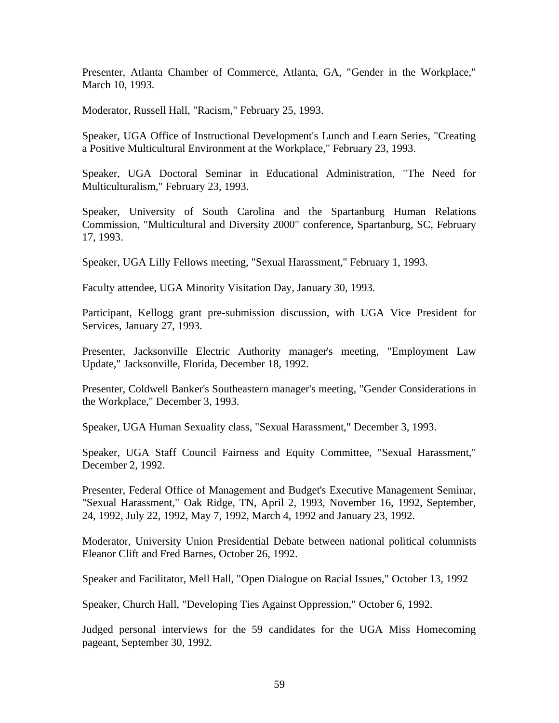Presenter, Atlanta Chamber of Commerce, Atlanta, GA, "Gender in the Workplace," March 10, 1993.

Moderator, Russell Hall, "Racism," February 25, 1993.

Speaker, UGA Office of Instructional Development's Lunch and Learn Series, "Creating a Positive Multicultural Environment at the Workplace," February 23, 1993.

Speaker, UGA Doctoral Seminar in Educational Administration, "The Need for Multiculturalism," February 23, 1993.

Speaker, University of South Carolina and the Spartanburg Human Relations Commission, "Multicultural and Diversity 2000" conference, Spartanburg, SC, February 17, 1993.

Speaker, UGA Lilly Fellows meeting, "Sexual Harassment," February 1, 1993.

Faculty attendee, UGA Minority Visitation Day, January 30, 1993.

Participant, Kellogg grant pre-submission discussion, with UGA Vice President for Services, January 27, 1993.

Presenter, Jacksonville Electric Authority manager's meeting, "Employment Law Update," Jacksonville, Florida, December 18, 1992.

Presenter, Coldwell Banker's Southeastern manager's meeting, "Gender Considerations in the Workplace," December 3, 1993.

Speaker, UGA Human Sexuality class, "Sexual Harassment," December 3, 1993.

Speaker, UGA Staff Council Fairness and Equity Committee, "Sexual Harassment," December 2, 1992.

Presenter, Federal Office of Management and Budget's Executive Management Seminar, "Sexual Harassment," Oak Ridge, TN, April 2, 1993, November 16, 1992, September, 24, 1992, July 22, 1992, May 7, 1992, March 4, 1992 and January 23, 1992.

Moderator, University Union Presidential Debate between national political columnists Eleanor Clift and Fred Barnes, October 26, 1992.

Speaker and Facilitator, Mell Hall, "Open Dialogue on Racial Issues," October 13, 1992

Speaker, Church Hall, "Developing Ties Against Oppression," October 6, 1992.

Judged personal interviews for the 59 candidates for the UGA Miss Homecoming pageant, September 30, 1992.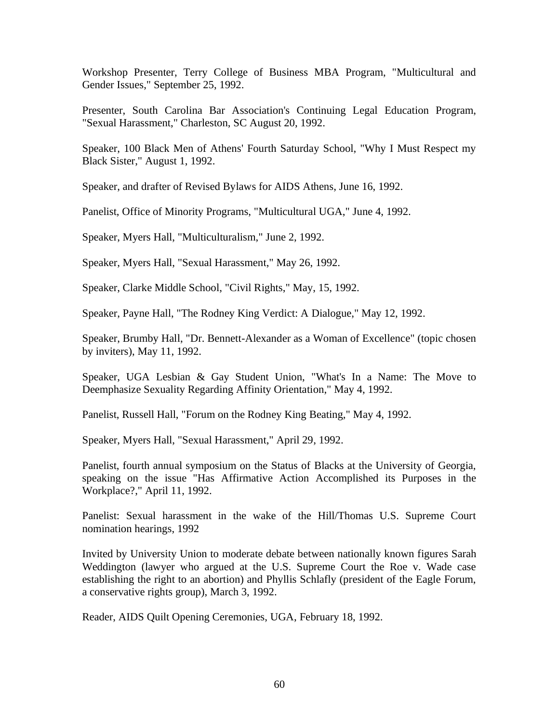Workshop Presenter, Terry College of Business MBA Program, "Multicultural and Gender Issues," September 25, 1992.

Presenter, South Carolina Bar Association's Continuing Legal Education Program, "Sexual Harassment," Charleston, SC August 20, 1992.

Speaker, 100 Black Men of Athens' Fourth Saturday School, "Why I Must Respect my Black Sister," August 1, 1992.

Speaker, and drafter of Revised Bylaws for AIDS Athens, June 16, 1992.

Panelist, Office of Minority Programs, "Multicultural UGA," June 4, 1992.

Speaker, Myers Hall, "Multiculturalism," June 2, 1992.

Speaker, Myers Hall, "Sexual Harassment," May 26, 1992.

Speaker, Clarke Middle School, "Civil Rights," May, 15, 1992.

Speaker, Payne Hall, "The Rodney King Verdict: A Dialogue," May 12, 1992.

Speaker, Brumby Hall, "Dr. Bennett-Alexander as a Woman of Excellence" (topic chosen by inviters), May 11, 1992.

Speaker, UGA Lesbian & Gay Student Union, "What's In a Name: The Move to Deemphasize Sexuality Regarding Affinity Orientation," May 4, 1992.

Panelist, Russell Hall, "Forum on the Rodney King Beating," May 4, 1992.

Speaker, Myers Hall, "Sexual Harassment," April 29, 1992.

Panelist, fourth annual symposium on the Status of Blacks at the University of Georgia, speaking on the issue "Has Affirmative Action Accomplished its Purposes in the Workplace?," April 11, 1992.

Panelist: Sexual harassment in the wake of the Hill/Thomas U.S. Supreme Court nomination hearings, 1992

Invited by University Union to moderate debate between nationally known figures Sarah Weddington (lawyer who argued at the U.S. Supreme Court the Roe v. Wade case establishing the right to an abortion) and Phyllis Schlafly (president of the Eagle Forum, a conservative rights group), March 3, 1992.

Reader, AIDS Quilt Opening Ceremonies, UGA, February 18, 1992.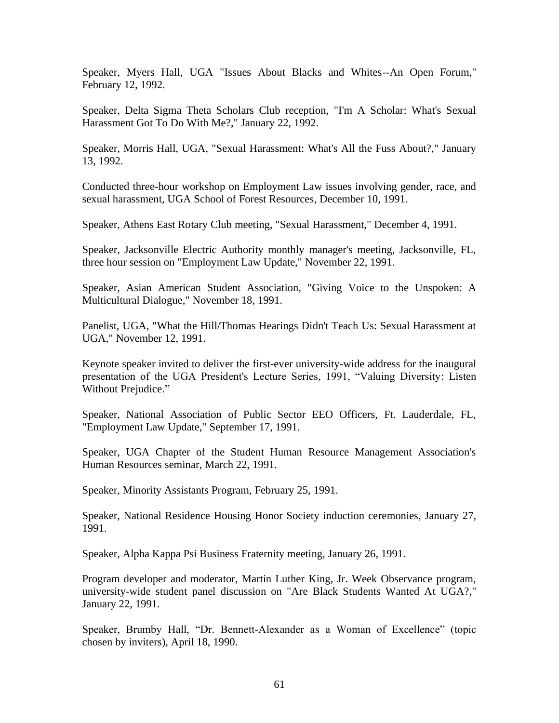Speaker, Myers Hall, UGA "Issues About Blacks and Whites--An Open Forum," February 12, 1992.

Speaker, Delta Sigma Theta Scholars Club reception, "I'm A Scholar: What's Sexual Harassment Got To Do With Me?," January 22, 1992.

Speaker, Morris Hall, UGA, "Sexual Harassment: What's All the Fuss About?," January 13, 1992.

Conducted three-hour workshop on Employment Law issues involving gender, race, and sexual harassment, UGA School of Forest Resources, December 10, 1991.

Speaker, Athens East Rotary Club meeting, "Sexual Harassment," December 4, 1991.

Speaker, Jacksonville Electric Authority monthly manager's meeting, Jacksonville, FL, three hour session on "Employment Law Update," November 22, 1991.

Speaker, Asian American Student Association, "Giving Voice to the Unspoken: A Multicultural Dialogue," November 18, 1991.

Panelist, UGA, "What the Hill/Thomas Hearings Didn't Teach Us: Sexual Harassment at UGA," November 12, 1991.

Keynote speaker invited to deliver the first-ever university-wide address for the inaugural presentation of the UGA President's Lecture Series, 1991, "Valuing Diversity: Listen Without Prejudice."

Speaker, National Association of Public Sector EEO Officers, Ft. Lauderdale, FL, "Employment Law Update," September 17, 1991.

Speaker, UGA Chapter of the Student Human Resource Management Association's Human Resources seminar, March 22, 1991.

Speaker, Minority Assistants Program, February 25, 1991.

Speaker, National Residence Housing Honor Society induction ceremonies, January 27, 1991.

Speaker, Alpha Kappa Psi Business Fraternity meeting, January 26, 1991.

Program developer and moderator, Martin Luther King, Jr. Week Observance program, university-wide student panel discussion on "Are Black Students Wanted At UGA?," January 22, 1991.

Speaker, Brumby Hall, "Dr. Bennett-Alexander as a Woman of Excellence" (topic chosen by inviters), April 18, 1990.